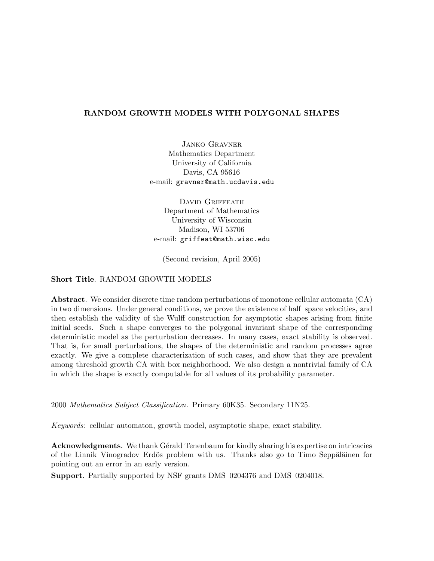# RANDOM GROWTH MODELS WITH POLYGONAL SHAPES

Janko Gravner Mathematics Department University of California Davis, CA 95616 e-mail: gravner@math.ucdavis.edu

DAVID GRIFFEATH Department of Mathematics University of Wisconsin Madison, WI 53706 e-mail: griffeat@math.wisc.edu

(Second revision, April 2005)

# Short Title. RANDOM GROWTH MODELS

Abstract. We consider discrete time random perturbations of monotone cellular automata (CA) in two dimensions. Under general conditions, we prove the existence of half–space velocities, and then establish the validity of the Wulff construction for asymptotic shapes arising from finite initial seeds. Such a shape converges to the polygonal invariant shape of the corresponding deterministic model as the perturbation decreases. In many cases, exact stability is observed. That is, for small perturbations, the shapes of the deterministic and random processes agree exactly. We give a complete characterization of such cases, and show that they are prevalent among threshold growth CA with box neighborhood. We also design a nontrivial family of CA in which the shape is exactly computable for all values of its probability parameter.

2000 Mathematics Subject Classification. Primary 60K35. Secondary 11N25.

Keywords: cellular automaton, growth model, asymptotic shape, exact stability.

Acknowledgments. We thank Gérald Tenenbaum for kindly sharing his expertise on intricacies of the Linnik–Vinogradov–Erdös problem with us. Thanks also go to Timo Seppäläinen for pointing out an error in an early version.

Support. Partially supported by NSF grants DMS–0204376 and DMS–0204018.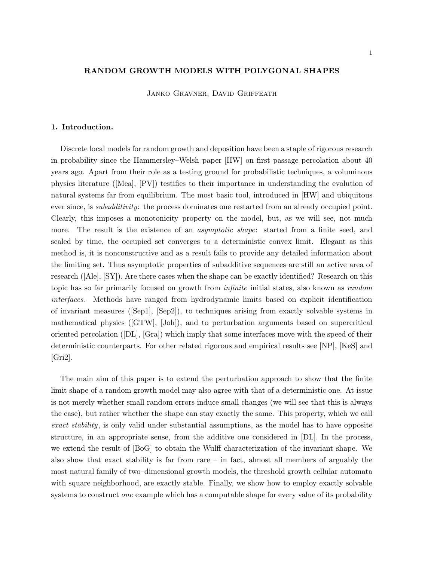## RANDOM GROWTH MODELS WITH POLYGONAL SHAPES

Janko Gravner, David Griffeath

### 1. Introduction.

Discrete local models for random growth and deposition have been a staple of rigorous research in probability since the Hammersley–Welsh paper [HW] on first passage percolation about 40 years ago. Apart from their role as a testing ground for probabilistic techniques, a voluminous physics literature ([Mea], [PV]) testifies to their importance in understanding the evolution of natural systems far from equilibrium. The most basic tool, introduced in [HW] and ubiquitous ever since, is *subadditivity*: the process dominates one restarted from an already occupied point. Clearly, this imposes a monotonicity property on the model, but, as we will see, not much more. The result is the existence of an *asymptotic shape*: started from a finite seed, and scaled by time, the occupied set converges to a deterministic convex limit. Elegant as this method is, it is nonconstructive and as a result fails to provide any detailed information about the limiting set. Thus asymptotic properties of subadditive sequences are still an active area of research ([Ale], [SY]). Are there cases when the shape can be exactly identified? Research on this topic has so far primarily focused on growth from infinite initial states, also known as random interfaces. Methods have ranged from hydrodynamic limits based on explicit identification of invariant measures ([Sep1], [Sep2]), to techniques arising from exactly solvable systems in mathematical physics ([GTW], [Joh]), and to perturbation arguments based on supercritical oriented percolation ([DL], [Gra]) which imply that some interfaces move with the speed of their deterministic counterparts. For other related rigorous and empirical results see [NP], [KeS] and [Gri2].

The main aim of this paper is to extend the perturbation approach to show that the finite limit shape of a random growth model may also agree with that of a deterministic one. At issue is not merely whether small random errors induce small changes (we will see that this is always the case), but rather whether the shape can stay exactly the same. This property, which we call exact stability, is only valid under substantial assumptions, as the model has to have opposite structure, in an appropriate sense, from the additive one considered in [DL]. In the process, we extend the result of [BoG] to obtain the Wulff characterization of the invariant shape. We also show that exact stability is far from rare  $-$  in fact, almost all members of arguably the most natural family of two–dimensional growth models, the threshold growth cellular automata with square neighborhood, are exactly stable. Finally, we show how to employ exactly solvable systems to construct *one* example which has a computable shape for every value of its probability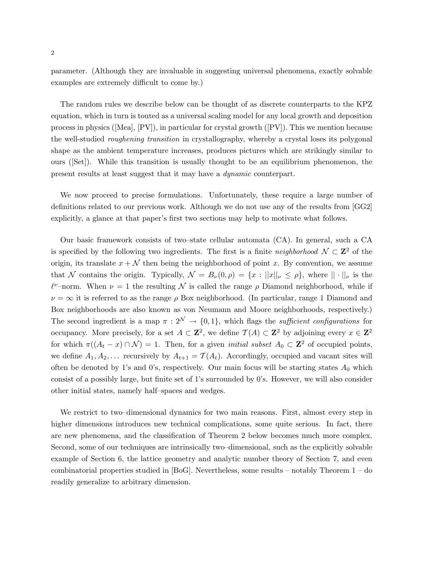parameter. (Although they are invaluable in suggesting universal phenomena, exactly solvable examples are extremely difficult to come by.)

The random rules we describe below can be thought of as discrete counterparts to the KPZ equation, which in turn is touted as a universal scaling model for any local growth and deposition process in physics ([Mea], [PV]), in particular for crystal growth ([PV]). This we mention because the well-studied roughening transition in crystallography, whereby a crystal loses its polygonal shape as the ambient temperature increases, produces pictures which are strikingly similar to ours ([Set]). While this transition is usually thought to be an equilibrium phenomenon, the present results at least suggest that it may have a dynamic counterpart.

We now proceed to precise formulations. Unfortunately, these require a large number of definitions related to our previous work. Although we do not use any of the results from [GG2] explicitly, a glance at that paper's first two sections may help to motivate what follows.

Our basic framework consists of two–state cellular automata (CA). In general, such a CA is specified by the following two ingredients. The first is a finite *neighborhood*  $\mathcal{N} \subset \mathbb{Z}^2$  of the origin, its translate  $x + \mathcal{N}$  then being the neighborhood of point x. By convention, we assume that N contains the origin. Typically,  $\mathcal{N} = B_{\nu}(0,\rho) = \{x : ||x||_{\nu} \leq \rho\}$ , where  $||\cdot||_{\nu}$  is the  $\ell^{\nu}$ -norm. When  $\nu = 1$  the resulting  $\mathcal N$  is called the range  $\rho$  Diamond neighborhood, while if  $\nu = \infty$  it is referred to as the range  $\rho$  Box neighborhood. (In particular, range 1 Diamond and Box neighborhoods are also known as von Neumann and Moore neighborhoods, respectively.) The second ingredient is a map  $\pi : 2^{\mathcal{N}} \to \{0, 1\}$ , which flags the *sufficient configurations* for occupancy. More precisely, for a set  $A \subset \mathbb{Z}^2$ , we define  $\mathcal{T}(A) \subset \mathbb{Z}^2$  by adjoining every  $x \in \mathbb{Z}^2$ for which  $\pi((A_t - x) \cap \mathcal{N}) = 1$ . Then, for a given *initial subset*  $A_0 \subset \mathbb{Z}^2$  of occupied points, we define  $A_1, A_2, \ldots$  recursively by  $A_{t+1} = \mathcal{T}(A_t)$ . Accordingly, occupied and vacant sites will often be denoted by 1's and 0's, respectively. Our main focus will be starting states  $A_0$  which consist of a possibly large, but finite set of 1's surrounded by 0's. However, we will also consider other initial states, namely half–spaces and wedges.

We restrict to two–dimensional dynamics for two main reasons. First, almost every step in higher dimensions introduces new technical complications, some quite serious. In fact, there are new phenomena, and the classification of Theorem 2 below becomes much more complex. Second, some of our techniques are intrinsically two–dimensional, such as the explicitly solvable example of Section 6, the lattice geometry and analytic number theory of Section 7, and even combinatorial properties studied in [BoG]. Nevertheless, some results – notably Theorem 1 – do readily generalize to arbitrary dimension.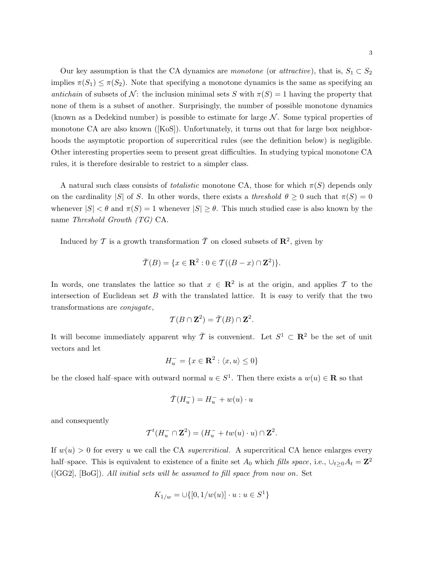Our key assumption is that the CA dynamics are monotone (or attractive), that is,  $S_1 \subset S_2$ implies  $\pi(S_1) \leq \pi(S_2)$ . Note that specifying a monotone dynamics is the same as specifying an antichain of subsets of N: the inclusion minimal sets S with  $\pi(S) = 1$  having the property that none of them is a subset of another. Surprisingly, the number of possible monotone dynamics (known as a Dedekind number) is possible to estimate for large  $N$ . Some typical properties of monotone CA are also known ([KoS]). Unfortunately, it turns out that for large box neighborhoods the asymptotic proportion of supercritical rules (see the definition below) is negligible. Other interesting properties seem to present great difficulties. In studying typical monotone CA rules, it is therefore desirable to restrict to a simpler class.

A natural such class consists of *totalistic* monotone CA, those for which  $\pi(S)$  depends only on the cardinality |S| of S. In other words, there exists a threshold  $\theta \geq 0$  such that  $\pi(S) = 0$ whenever  $|S| < \theta$  and  $\pi(S) = 1$  whenever  $|S| \ge \theta$ . This much studied case is also known by the name Threshold Growth (TG) CA.

Induced by  $\mathcal T$  is a growth transformation  $\bar{\mathcal T}$  on closed subsets of  $\mathbb{R}^2$ , given by

$$
\overline{\mathcal{T}}(B) = \{x \in \mathbf{R}^2 : 0 \in \mathcal{T}((B - x) \cap \mathbf{Z}^2)\}.
$$

In words, one translates the lattice so that  $x \in \mathbb{R}^2$  is at the origin, and applies T to the intersection of Euclidean set  $B$  with the translated lattice. It is easy to verify that the two transformations are conjugate,

$$
\mathcal{T}(B \cap \mathbf{Z}^2) = \overline{\mathcal{T}}(B) \cap \mathbf{Z}^2.
$$

It will become immediately apparent why  $\bar{T}$  is convenient. Let  $S^1 \subset \mathbb{R}^2$  be the set of unit vectors and let

$$
H_u^- = \{ x \in \mathbf{R}^2 : \langle x, u \rangle \le 0 \}
$$

be the closed half–space with outward normal  $u \in S^1$ . Then there exists a  $w(u) \in \mathbf{R}$  so that

$$
\bar{T}(H_u^{-}) = H_u^{-} + w(u) \cdot u
$$

and consequently

$$
\mathcal{T}^t(H_u^- \cap \mathbf{Z}^2) = (H_u^- + tw(u) \cdot u) \cap \mathbf{Z}^2.
$$

If  $w(u) > 0$  for every u we call the CA supercritical. A supercritical CA hence enlarges every half–space. This is equivalent to existence of a finite set  $A_0$  which fills space, i.e.,  $\cup_{t\geq 0} A_t = \mathbf{Z}^2$ ([GG2], [BoG]). All initial sets will be assumed to fill space from now on. Set

$$
K_{1/w} = \cup \{ [0, 1/w(u)] \cdot u : u \in S^1 \}
$$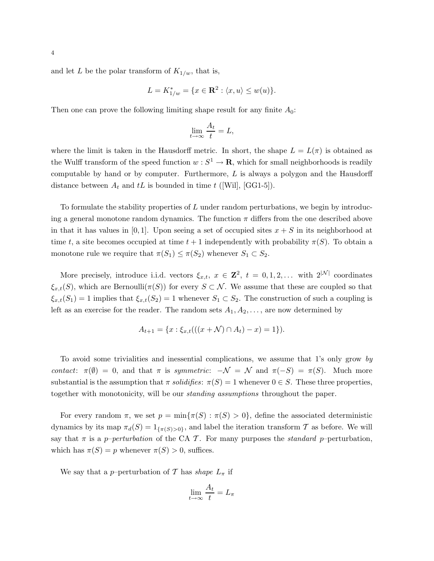and let L be the polar transform of  $K_{1/w}$ , that is,

$$
L = K_{1/w}^* = \{x \in \mathbf{R}^2 : \langle x, u \rangle \le w(u)\}.
$$

Then one can prove the following limiting shape result for any finite  $A_0$ :

$$
\lim_{t \to \infty} \frac{A_t}{t} = L,
$$

where the limit is taken in the Hausdorff metric. In short, the shape  $L = L(\pi)$  is obtained as the Wulff transform of the speed function  $w : S^1 \to \mathbf{R}$ , which for small neighborhoods is readily computable by hand or by computer. Furthermore,  $L$  is always a polygon and the Hausdorff distance between  $A_t$  and tL is bounded in time t ([Will, [GG1-5]).

To formulate the stability properties of L under random perturbations, we begin by introducing a general monotone random dynamics. The function  $\pi$  differs from the one described above in that it has values in  $[0, 1]$ . Upon seeing a set of occupied sites  $x + S$  in its neighborhood at time t, a site becomes occupied at time  $t + 1$  independently with probability  $\pi(S)$ . To obtain a monotone rule we require that  $\pi(S_1) \leq \pi(S_2)$  whenever  $S_1 \subset S_2$ .

More precisely, introduce i.i.d. vectors  $\xi_{x,t}$ ,  $x \in \mathbb{Z}^2$ ,  $t = 0, 1, 2, \ldots$  with  $2^{|\mathcal{N}|}$  coordinates  $\xi_{x,t}(S)$ , which are Bernoulli $(\pi(S))$  for every  $S \subset \mathcal{N}$ . We assume that these are coupled so that  $\xi_{x,t}(S_1) = 1$  implies that  $\xi_{x,t}(S_2) = 1$  whenever  $S_1 \subset S_2$ . The construction of such a coupling is left as an exercise for the reader. The random sets  $A_1, A_2, \ldots$ , are now determined by

$$
A_{t+1} = \{x : \xi_{x,t}(((x + \mathcal{N}) \cap A_t) - x) = 1\}).
$$

To avoid some trivialities and inessential complications, we assume that 1's only grow by contact:  $\pi(\emptyset) = 0$ , and that  $\pi$  is symmetric:  $-\mathcal{N} = \mathcal{N}$  and  $\pi(-S) = \pi(S)$ . Much more substantial is the assumption that  $\pi$  solidifies:  $\pi(S) = 1$  whenever  $0 \in S$ . These three properties, together with monotonicity, will be our standing assumptions throughout the paper.

For every random  $\pi$ , we set  $p = \min{\pi(S) : \pi(S) > 0}$ , define the associated deterministic dynamics by its map  $\pi_d(S) = 1_{\{\pi(S) > 0\}}$ , and label the iteration transform T as before. We will say that  $\pi$  is a *p–perturbation* of the CA T. For many purposes the *standard p*–perturbation, which has  $\pi(S) = p$  whenever  $\pi(S) > 0$ , suffices.

We say that a p–perturbation of T has shape  $L_{\pi}$  if

$$
\lim_{t \to \infty} \frac{A_t}{t} = L_\pi
$$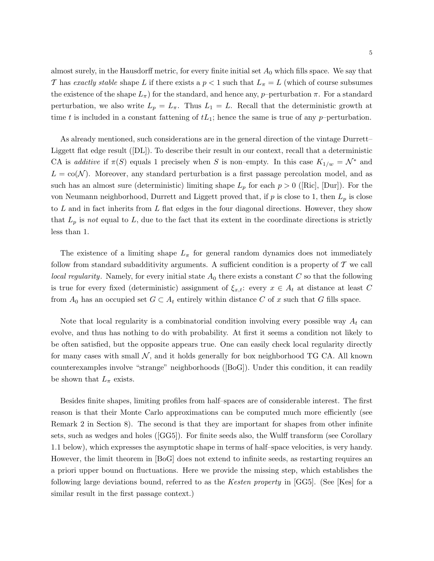almost surely, in the Hausdorff metric, for every finite initial set  $A_0$  which fills space. We say that T has exactly stable shape L if there exists a  $p < 1$  such that  $L_{\pi} = L$  (which of course subsumes the existence of the shape  $L_{\pi}$ ) for the standard, and hence any, p–perturbation  $\pi$ . For a standard perturbation, we also write  $L_p = L_\pi$ . Thus  $L_1 = L$ . Recall that the deterministic growth at time t is included in a constant fattening of  $tL_1$ ; hence the same is true of any p–perturbation.

As already mentioned, such considerations are in the general direction of the vintage Durrett– Liggett flat edge result ([DL]). To describe their result in our context, recall that a deterministic CA is additive if  $\pi(S)$  equals 1 precisely when S is non–empty. In this case  $K_{1/w} = \mathcal{N}^*$  and  $L = \text{co}(\mathcal{N})$ . Moreover, any standard perturbation is a first passage percolation model, and as such has an almost sure (deterministic) limiting shape  $L_p$  for each  $p > 0$  ([Ric], [Dur]). For the von Neumann neighborhood, Durrett and Liggett proved that, if  $p$  is close to 1, then  $L_p$  is close to  $L$  and in fact inherits from  $L$  flat edges in the four diagonal directions. However, they show that  $L_p$  is not equal to  $L$ , due to the fact that its extent in the coordinate directions is strictly less than 1.

The existence of a limiting shape  $L_{\pi}$  for general random dynamics does not immediately follow from standard subadditivity arguments. A sufficient condition is a property of  $\mathcal T$  we call *local regularity.* Namely, for every initial state  $A_0$  there exists a constant C so that the following is true for every fixed (deterministic) assignment of  $\xi_{x,t}$ : every  $x \in A_t$  at distance at least C from  $A_0$  has an occupied set  $G \subset A_t$  entirely within distance C of x such that G fills space.

Note that local regularity is a combinatorial condition involving every possible way  $A_t$  can evolve, and thus has nothing to do with probability. At first it seems a condition not likely to be often satisfied, but the opposite appears true. One can easily check local regularity directly for many cases with small  $\mathcal{N}$ , and it holds generally for box neighborhood TG CA. All known counterexamples involve "strange" neighborhoods ([BoG]). Under this condition, it can readily be shown that  $L_{\pi}$  exists.

Besides finite shapes, limiting profiles from half–spaces are of considerable interest. The first reason is that their Monte Carlo approximations can be computed much more efficiently (see Remark 2 in Section 8). The second is that they are important for shapes from other infinite sets, such as wedges and holes ([GG5]). For finite seeds also, the Wulff transform (see Corollary 1.1 below), which expresses the asymptotic shape in terms of half–space velocities, is very handy. However, the limit theorem in [BoG] does not extend to infinite seeds, as restarting requires an a priori upper bound on fluctuations. Here we provide the missing step, which establishes the following large deviations bound, referred to as the Kesten property in [GG5]. (See [Kes] for a similar result in the first passage context.)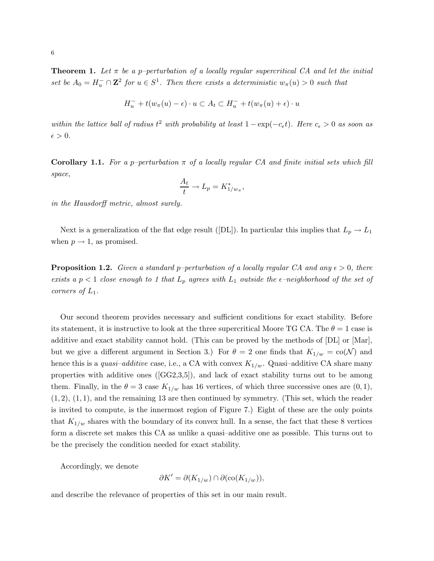**Theorem 1.** Let  $\pi$  be a p-perturbation of a locally regular supercritical CA and let the initial set be  $A_0 = H_u^- \cap \mathbb{Z}^2$  for  $u \in S^1$ . Then there exists a deterministic  $w_\pi(u) > 0$  such that

$$
H_u^- + t(w_\pi(u) - \epsilon) \cdot u \subset A_t \subset H_u^- + t(w_\pi(u) + \epsilon) \cdot u
$$

within the lattice ball of radius  $t^2$  with probability at least  $1 - \exp(-c_{\epsilon}t)$ . Here  $c_{\epsilon} > 0$  as soon as  $\epsilon > 0$ .

**Corollary 1.1.** For a p–perturbation  $\pi$  of a locally regular CA and finite initial sets which fill space,

$$
\frac{A_t}{t} \to L_p = K_{1/w_\pi}^*,
$$

in the Hausdorff metric, almost surely.

Next is a generalization of the flat edge result ([DL]). In particular this implies that  $L_p \to L_1$ when  $p \rightarrow 1$ , as promised.

**Proposition 1.2.** Given a standard p–perturbation of a locally regular CA and any  $\epsilon > 0$ , there exists a  $p < 1$  close enough to 1 that  $L_p$  agrees with  $L_1$  outside the  $\epsilon$ -neighborhood of the set of corners of  $L_1$ .

Our second theorem provides necessary and sufficient conditions for exact stability. Before its statement, it is instructive to look at the three supercritical Moore TG CA. The  $\theta = 1$  case is additive and exact stability cannot hold. (This can be proved by the methods of [DL] or [Mar], but we give a different argument in Section 3.) For  $\theta = 2$  one finds that  $K_{1/w} = \text{co}(\mathcal{N})$  and hence this is a quasi-additive case, i.e., a CA with convex  $K_{1/w}$ . Quasi-additive CA share many properties with additive ones  $(\text{[GG2,3,5]}),$  and lack of exact stability turns out to be among them. Finally, in the  $\theta = 3$  case  $K_{1/w}$  has 16 vertices, of which three successive ones are  $(0, 1)$ ,  $(1, 2), (1, 1),$  and the remaining 13 are then continued by symmetry. (This set, which the reader is invited to compute, is the innermost region of Figure 7.) Eight of these are the only points that  $K_{1/w}$  shares with the boundary of its convex hull. In a sense, the fact that these 8 vertices form a discrete set makes this CA as unlike a quasi–additive one as possible. This turns out to be the precisely the condition needed for exact stability.

Accordingly, we denote

$$
\partial K' = \partial (K_{1/w}) \cap \partial (\text{co}(K_{1/w})),
$$

and describe the relevance of properties of this set in our main result.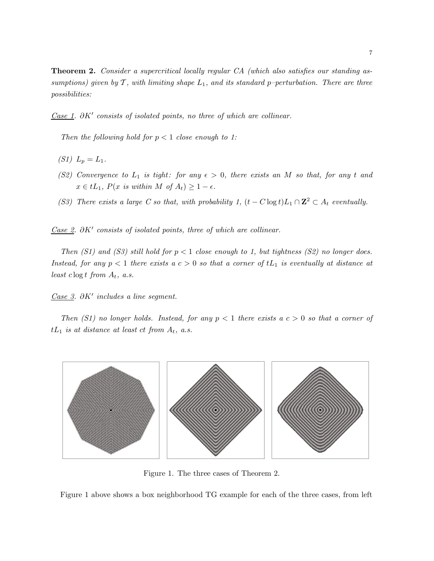**Theorem 2.** Consider a supercritical locally regular CA (which also satisfies our standing assumptions) given by  $\mathcal T$ , with limiting shape  $L_1$ , and its standard p-perturbation. There are three possibilities:

 $\overline{Case 1}$ .  $\partial K'$  consists of isolated points, no three of which are collinear.

Then the following hold for  $p < 1$  close enough to 1:

- (S1)  $L_p = L_1$ .
- (S2) Convergence to  $L_1$  is tight: for any  $\epsilon > 0$ , there exists an M so that, for any t and  $x \in tL_1$ ,  $P(x \text{ is within } M \text{ of } A_t) \geq 1 - \epsilon$ .
- (S3) There exists a large C so that, with probability 1,  $(t C \log t) L_1 \cap \mathbb{Z}^2 \subset A_t$  eventually.

Case 2.  $\partial K'$  consists of isolated points, three of which are collinear.

Then  $(S1)$  and  $(S3)$  still hold for  $p < 1$  close enough to 1, but tightness  $(S2)$  no longer does. Instead, for any  $p < 1$  there exists a  $c > 0$  so that a corner of  $tL_1$  is eventually at distance at least  $c \log t$  from  $A_t$ , a.s.

 $\overline{Case 3}$ . ∂K' includes a line segment.

Then  $(S1)$  no longer holds. Instead, for any  $p < 1$  there exists a  $c > 0$  so that a corner of  $tL_1$  is at distance at least ct from  $A_t$ , a.s.



Figure 1. The three cases of Theorem 2.

Figure 1 above shows a box neighborhood TG example for each of the three cases, from left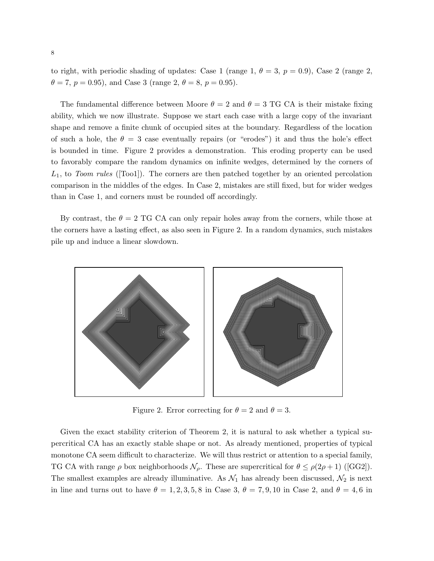to right, with periodic shading of updates: Case 1 (range 1,  $\theta = 3$ ,  $p = 0.9$ ), Case 2 (range 2,  $\theta = 7, p = 0.95$ , and Case 3 (range 2,  $\theta = 8, p = 0.95$ ).

The fundamental difference between Moore  $\theta = 2$  and  $\theta = 3$  TG CA is their mistake fixing ability, which we now illustrate. Suppose we start each case with a large copy of the invariant shape and remove a finite chunk of occupied sites at the boundary. Regardless of the location of such a hole, the  $\theta = 3$  case eventually repairs (or "erodes") it and thus the hole's effect is bounded in time. Figure 2 provides a demonstration. This eroding property can be used to favorably compare the random dynamics on infinite wedges, determined by the corners of  $L_1$ , to Toom rules ([Too1]). The corners are then patched together by an oriented percolation comparison in the middles of the edges. In Case 2, mistakes are still fixed, but for wider wedges than in Case 1, and corners must be rounded off accordingly.

By contrast, the  $\theta = 2$  TG CA can only repair holes away from the corners, while those at the corners have a lasting effect, as also seen in Figure 2. In a random dynamics, such mistakes pile up and induce a linear slowdown.



Figure 2. Error correcting for  $\theta = 2$  and  $\theta = 3$ .

Given the exact stability criterion of Theorem 2, it is natural to ask whether a typical supercritical CA has an exactly stable shape or not. As already mentioned, properties of typical monotone CA seem difficult to characterize. We will thus restrict or attention to a special family, TG CA with range  $\rho$  box neighborhoods  $\mathcal{N}_{\rho}$ . These are supercritical for  $\theta \leq \rho(2\rho + 1)$  ([GG2]). The smallest examples are already illuminative. As  $\mathcal{N}_1$  has already been discussed,  $\mathcal{N}_2$  is next in line and turns out to have  $\theta = 1, 2, 3, 5, 8$  in Case 3,  $\theta = 7, 9, 10$  in Case 2, and  $\theta = 4, 6$  in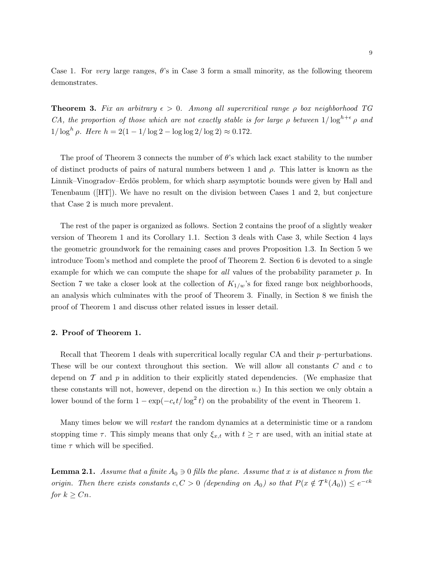Case 1. For very large ranges,  $\theta$ 's in Case 3 form a small minority, as the following theorem demonstrates.

**Theorem 3.** Fix an arbitrary  $\epsilon > 0$ . Among all supercritical range  $\rho$  box neighborhood TG CA, the proportion of those which are not exactly stable is for large  $\rho$  between  $1/\log^{h+\epsilon} \rho$  and  $1/\log^h \rho$ . Here  $h = 2(1 - 1/\log 2 - \log \log 2/\log 2) \approx 0.172$ .

The proof of Theorem 3 connects the number of  $\theta$ 's which lack exact stability to the number of distinct products of pairs of natural numbers between 1 and  $\rho$ . This latter is known as the Linnik–Vinogradov–Erdös problem, for which sharp asymptotic bounds were given by Hall and Tenenbaum ([HT]). We have no result on the division between Cases 1 and 2, but conjecture that Case 2 is much more prevalent.

The rest of the paper is organized as follows. Section 2 contains the proof of a slightly weaker version of Theorem 1 and its Corollary 1.1. Section 3 deals with Case 3, while Section 4 lays the geometric groundwork for the remaining cases and proves Proposition 1.3. In Section 5 we introduce Toom's method and complete the proof of Theorem 2. Section 6 is devoted to a single example for which we can compute the shape for all values of the probability parameter p. In Section 7 we take a closer look at the collection of  $K_{1/w}$ 's for fixed range box neighborhoods, an analysis which culminates with the proof of Theorem 3. Finally, in Section 8 we finish the proof of Theorem 1 and discuss other related issues in lesser detail.

#### 2. Proof of Theorem 1.

Recall that Theorem 1 deals with supercritical locally regular CA and their  $p$ –perturbations. These will be our context throughout this section. We will allow all constants C and c to depend on  $\mathcal T$  and  $p$  in addition to their explicitly stated dependencies. (We emphasize that these constants will not, however, depend on the direction  $u$ .) In this section we only obtain a lower bound of the form  $1 - \exp(-c_{\epsilon}t/\log^2 t)$  on the probability of the event in Theorem 1.

Many times below we will restart the random dynamics at a deterministic time or a random stopping time  $\tau$ . This simply means that only  $\xi_{x,t}$  with  $t \geq \tau$  are used, with an initial state at time  $\tau$  which will be specified.

**Lemma 2.1.** Assume that a finite  $A_0 \ni 0$  fills the plane. Assume that x is at distance n from the origin. Then there exists constants  $c, C > 0$  (depending on  $A_0$ ) so that  $P(x \notin T^k(A_0)) \leq e^{-ck}$ for  $k \geq Cn$ .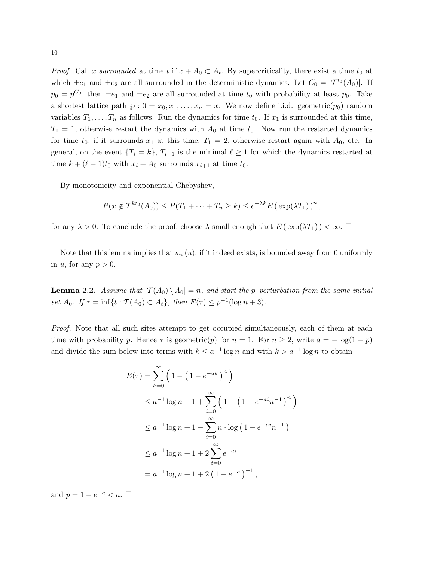*Proof.* Call x surrounded at time t if  $x + A_0 \subset A_t$ . By supercriticality, there exist a time  $t_0$  at which  $\pm e_1$  and  $\pm e_2$  are all surrounded in the deterministic dynamics. Let  $C_0 = |\mathcal{T}^{t_0}(A_0)|$ . If  $p_0 = p^{C_0}$ , then  $\pm e_1$  and  $\pm e_2$  are all surrounded at time  $t_0$  with probability at least  $p_0$ . Take a shortest lattice path  $\varphi$  :  $0 = x_0, x_1, \ldots, x_n = x$ . We now define i.i.d. geometric $(p_0)$  random variables  $T_1, \ldots, T_n$  as follows. Run the dynamics for time  $t_0$ . If  $x_1$  is surrounded at this time,  $T_1 = 1$ , otherwise restart the dynamics with  $A_0$  at time  $t_0$ . Now run the restarted dynamics for time  $t_0$ ; if it surrounds  $x_1$  at this time,  $T_1 = 2$ , otherwise restart again with  $A_0$ , etc. In general, on the event  $\{T_i = k\}$ ,  $T_{i+1}$  is the minimal  $\ell \geq 1$  for which the dynamics restarted at time  $k + (\ell - 1)t_0$  with  $x_i + A_0$  surrounds  $x_{i+1}$  at time  $t_0$ .

By monotonicity and exponential Chebyshev,

$$
P(x \notin T^{kt_0}(A_0)) \leq P(T_1 + \cdots + T_n \geq k) \leq e^{-\lambda k} E(\exp(\lambda T_1))^n,
$$

for any  $\lambda > 0$ . To conclude the proof, choose  $\lambda$  small enough that  $E(\exp(\lambda T_1)) < \infty$ .

Note that this lemma implies that  $w_{\pi}(u)$ , if it indeed exists, is bounded away from 0 uniformly in u, for any  $p > 0$ .

**Lemma 2.2.** Assume that  $|T(A_0) \setminus A_0| = n$ , and start the p-perturbation from the same initial set  $A_0$ . If  $\tau = \inf\{t : \mathcal{T}(A_0) \subset A_t\}$ , then  $E(\tau) \leq p^{-1}(\log n + 3)$ .

Proof. Note that all such sites attempt to get occupied simultaneously, each of them at each time with probability p. Hence  $\tau$  is geometric(p) for  $n = 1$ . For  $n \geq 2$ , write  $a = -\log(1 - p)$ and divide the sum below into terms with  $k \leq a^{-1} \log n$  and with  $k > a^{-1} \log n$  to obtain

$$
E(\tau) = \sum_{k=0}^{\infty} \left( 1 - \left( 1 - e^{-ak} \right)^n \right)
$$
  
\n
$$
\leq a^{-1} \log n + 1 + \sum_{i=0}^{\infty} \left( 1 - \left( 1 - e^{-ai} n^{-1} \right)^n \right)
$$
  
\n
$$
\leq a^{-1} \log n + 1 - \sum_{i=0}^{\infty} n \cdot \log \left( 1 - e^{-ai} n^{-1} \right)
$$
  
\n
$$
\leq a^{-1} \log n + 1 + 2 \sum_{i=0}^{\infty} e^{-ai}
$$
  
\n
$$
= a^{-1} \log n + 1 + 2 \left( 1 - e^{-a} \right)^{-1},
$$

and  $p = 1 - e^{-a} < a$ .  $\Box$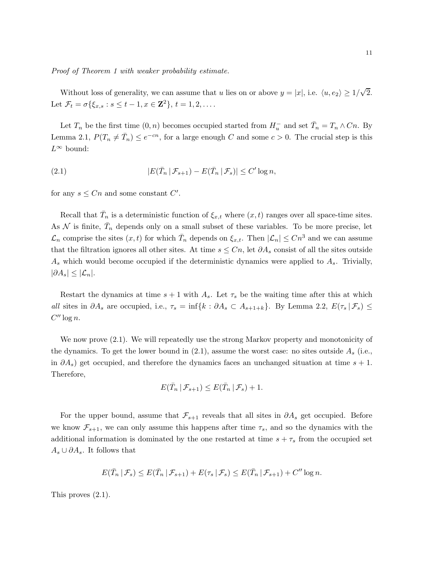Proof of Theorem 1 with weaker probability estimate.

Without loss of generality, we can assume that u lies on or above  $y = |x|$ , i.e.  $\langle u, e_2 \rangle \ge 1/\sqrt{2}$ . Let  $\mathcal{F}_t = \sigma\{\xi_{x,s} : s \le t - 1, x \in \mathbf{Z}^2\}, t = 1, 2, \dots$ 

Let  $T_n$  be the first time  $(0, n)$  becomes occupied started from  $H_u^-$  and set  $\bar{T}_n = T_n \wedge C_n$ . By Lemma 2.1,  $P(T_n \neq \overline{T}_n) \leq e^{-cn}$ , for a large enough C and some  $c > 0$ . The crucial step is this  $L^∞$  bound:

(2.1) 
$$
|E(\bar{T}_n \,|\, \mathcal{F}_{s+1}) - E(\bar{T}_n \,|\, \mathcal{F}_s)| \leq C' \log n,
$$

for any  $s \leq Cn$  and some constant  $C'$ .

Recall that  $\bar{T}_n$  is a deterministic function of  $\xi_{x,t}$  where  $(x,t)$  ranges over all space-time sites. As  $\mathcal N$  is finite,  $\bar T_n$  depends only on a small subset of these variables. To be more precise, let  $\mathcal{L}_n$  comprise the sites  $(x, t)$  for which  $\bar{T}_n$  depends on  $\xi_{x,t}$ . Then  $|\mathcal{L}_n| \leq Cn^3$  and we can assume that the filtration ignores all other sites. At time  $s \leq C_n$ , let  $\partial A_s$  consist of all the sites outside  $A<sub>s</sub>$  which would become occupied if the deterministic dynamics were applied to  $A<sub>s</sub>$ . Trivially,  $|\partial A_s| \leq |\mathcal{L}_n|.$ 

Restart the dynamics at time  $s + 1$  with  $A_s$ . Let  $\tau_s$  be the waiting time after this at which all sites in  $\partial A_s$  are occupied, i.e.,  $\tau_s = \inf\{k : \partial A_s \subset A_{s+1+k}\}\$ . By Lemma 2.2,  $E(\tau_s | \mathcal{F}_s) \leq$  $C''\log n$ .

We now prove (2.1). We will repeatedly use the strong Markov property and monotonicity of the dynamics. To get the lower bound in  $(2.1)$ , assume the worst case: no sites outside  $A_s$  (i.e., in  $\partial A_s$ ) get occupied, and therefore the dynamics faces an unchanged situation at time  $s + 1$ . Therefore,

$$
E(\bar{T}_n \,|\, \mathcal{F}_{s+1}) \leq E(\bar{T}_n \,|\, \mathcal{F}_s) + 1.
$$

For the upper bound, assume that  $\mathcal{F}_{s+1}$  reveals that all sites in  $\partial A_s$  get occupied. Before we know  $\mathcal{F}_{s+1}$ , we can only assume this happens after time  $\tau_s$ , and so the dynamics with the additional information is dominated by the one restarted at time  $s + \tau_s$  from the occupied set  $A_s \cup \partial A_s$ . It follows that

$$
E(\bar{T}_n \mid \mathcal{F}_s) \leq E(\bar{T}_n \mid \mathcal{F}_{s+1}) + E(\tau_s \mid \mathcal{F}_s) \leq E(\bar{T}_n \mid \mathcal{F}_{s+1}) + C'' \log n.
$$

This proves (2.1).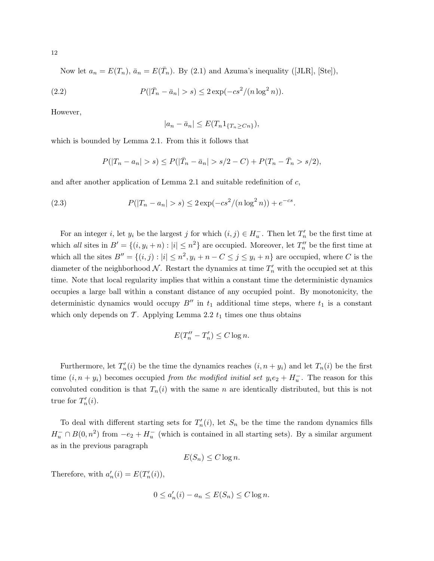Now let  $a_n = E(T_n)$ ,  $\bar{a}_n = E(\bar{T}_n)$ . By (2.1) and Azuma's inequality ([JLR], [Ste]),

(2.2) 
$$
P(|\bar{T}_n - \bar{a}_n| > s) \leq 2 \exp(-cs^2/(n \log^2 n)).
$$

However,

$$
|a_n - \bar{a}_n| \le E(T_n 1_{\{T_n \ge Cn\}}),
$$

which is bounded by Lemma 2.1. From this it follows that

$$
P(|T_n - a_n| > s) \le P(|\bar{T}_n - \bar{a}_n| > s/2 - C) + P(T_n - \bar{T}_n > s/2),
$$

and after another application of Lemma 2.1 and suitable redefinition of  $c$ ,

(2.3) 
$$
P(|T_n - a_n| > s) \leq 2 \exp(-cs^2/(n \log^2 n)) + e^{-cs}.
$$

For an integer *i*, let  $y_i$  be the largest *j* for which  $(i, j) \in H_u^-$ . Then let  $T'_n$  be the first time at which all sites in  $B' = \{(i, y_i + n) : |i| \leq n^2\}$  are occupied. Moreover, let  $T''_n$  be the first time at which all the sites  $B'' = \{(i, j) : |i| \leq n^2, y_i + n - C \leq j \leq y_i + n\}$  are occupied, where C is the diameter of the neighborhood  $N$ . Restart the dynamics at time  $T'_n$  with the occupied set at this time. Note that local regularity implies that within a constant time the deterministic dynamics occupies a large ball within a constant distance of any occupied point. By monotonicity, the deterministic dynamics would occupy  $B''$  in  $t_1$  additional time steps, where  $t_1$  is a constant which only depends on  $\mathcal T$ . Applying Lemma 2.2  $t_1$  times one thus obtains

$$
E(T_n'' - T_n') \le C \log n.
$$

Furthermore, let  $T'_n(i)$  be the time the dynamics reaches  $(i, n + y_i)$  and let  $T_n(i)$  be the first time  $(i, n + y_i)$  becomes occupied from the modified initial set  $y_i e_2 + H_u^-$ . The reason for this convoluted condition is that  $T_n(i)$  with the same n are identically distributed, but this is not true for  $T_n'(i)$ .

To deal with different starting sets for  $T_n(i)$ , let  $S_n$  be the time the random dynamics fills  $H^-_u \cap B(0,n^2)$  from  $-e_2 + H^-_u$  (which is contained in all starting sets). By a similar argument as in the previous paragraph

$$
E(S_n) \le C \log n.
$$

Therefore, with  $a'_n(i) = E(T'_n(i)),$ 

$$
0 \le a'_n(i) - a_n \le E(S_n) \le C \log n.
$$

12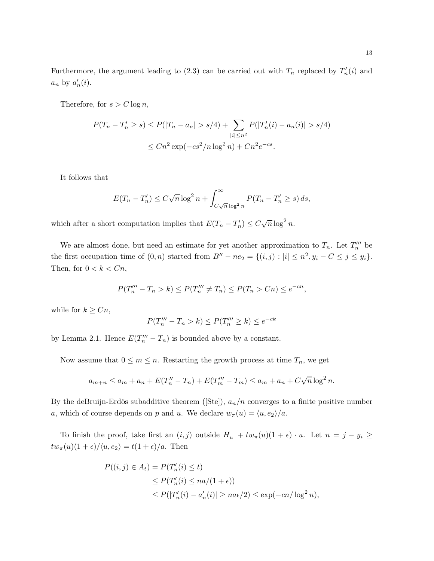Furthermore, the argument leading to (2.3) can be carried out with  $T_n$  replaced by  $T'_n(i)$  and  $a_n$  by  $a'_n(i)$ .

Therefore, for  $s > C \log n$ ,

$$
P(T_n - T'_n \ge s) \le P(|T_n - a_n| > s/4) + \sum_{|i| \le n^2} P(|T'_n(i) - a_n(i)| > s/4)
$$
  

$$
\le Cn^2 \exp(-cs^2/n \log^2 n) + Cn^2 e^{-cs}.
$$

It follows that

$$
E(T_n - T'_n) \le C\sqrt{n}\log^2 n + \int_{C\sqrt{n}\log^2 n}^{\infty} P(T_n - T'_n \ge s) ds,
$$

which after a short computation implies that  $E(T_n - T'_n) \leq C \sqrt{n} \log^2 n$ .

We are almost done, but need an estimate for yet another approximation to  $T_n$ . Let  $T_n^{\prime\prime\prime}$  be the first occupation time of  $(0, n)$  started from  $B'' - ne_2 = \{(i, j) : |i| \leq n^2, y_i - C \leq j \leq y_i\}.$ Then, for  $0 < k < Cn$ ,

$$
P(T_n''' - T_n > k) \le P(T_n''' \neq T_n) \le P(T_n > C_n) \le e^{-cn},
$$

while for  $k \geq Cn$ ,

$$
P(T_n''' - T_n > k) \le P(T_n''' \ge k) \le e^{-ck}
$$

by Lemma 2.1. Hence  $E(T_n''' - T_n)$  is bounded above by a constant.

Now assume that  $0 \leq m \leq n$ . Restarting the growth process at time  $T_n$ , we get

$$
a_{m+n} \le a_m + a_n + E(T''_n - T_n) + E(T'''_m - T_m) \le a_m + a_n + C\sqrt{n}\log^2 n.
$$

By the deBruijn-Erdös subadditive theorem ([Ste]),  $a_n/n$  converges to a finite positive number a, which of course depends on p and u. We declare  $w_{\pi}(u) = \langle u, e_2 \rangle / a$ .

To finish the proof, take first an  $(i, j)$  outside  $H_u^- + tw_\pi(u)(1 + \epsilon) \cdot u$ . Let  $n = j - y_i \ge$  $tw_{\pi}(u)(1 + \epsilon) / \langle u, e_2 \rangle = t(1 + \epsilon) / a$ . Then

$$
P((i,j) \in A_t) = P(T'_n(i) \le t)
$$
  
\n
$$
\le P(T'_n(i) \le na/(1+\epsilon))
$$
  
\n
$$
\le P(|T'_n(i) - a'_n(i)| \ge na\epsilon/2) \le \exp(-cn/\log^2 n),
$$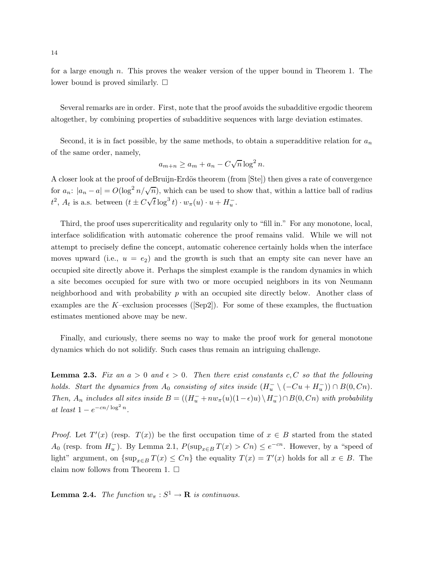for a large enough n. This proves the weaker version of the upper bound in Theorem 1. The lower bound is proved similarly.  $\square$ 

Several remarks are in order. First, note that the proof avoids the subadditive ergodic theorem altogether, by combining properties of subadditive sequences with large deviation estimates.

Second, it is in fact possible, by the same methods, to obtain a superadditive relation for  $a_n$ of the same order, namely,

$$
a_{m+n} \ge a_m + a_n - C\sqrt{n}\log^2 n.
$$

A closer look at the proof of deBruijn-Erdös theorem (from [Ste]) then gives a rate of convergence for  $a_n$ :  $|a_n - a| = O(\log^2 n / \sqrt{n})$ , which can be used to show that, within a lattice ball of radius  $t^2$ ,  $A_t$  is a.s. between  $(t \pm C\sqrt{t} \log^3 t) \cdot w_{\pi}(u) \cdot u + H_u^{-}$ .

Third, the proof uses supercriticality and regularity only to "fill in." For any monotone, local, interface solidification with automatic coherence the proof remains valid. While we will not attempt to precisely define the concept, automatic coherence certainly holds when the interface moves upward (i.e.,  $u = e_2$ ) and the growth is such that an empty site can never have an occupied site directly above it. Perhaps the simplest example is the random dynamics in which a site becomes occupied for sure with two or more occupied neighbors in its von Neumann neighborhood and with probability  $p$  with an occupied site directly below. Another class of examples are the K–exclusion processes ( $[\text{Sep2}]$ ). For some of these examples, the fluctuation estimates mentioned above may be new.

Finally, and curiously, there seems no way to make the proof work for general monotone dynamics which do not solidify. Such cases thus remain an intriguing challenge.

**Lemma 2.3.** Fix an  $a > 0$  and  $\epsilon > 0$ . Then there exist constants c, C so that the following holds. Start the dynamics from  $A_0$  consisting of sites inside  $(H_u^- \setminus (-Cu + H_u^-)) \cap B(0, Cn)$ . Then,  $A_n$  includes all sites inside  $B = ((H_u^- + nw_\pi(u)(1-\epsilon)u) \setminus H_u^-) \cap B(0, Cn)$  with probability at least  $1 - e^{-cn/\log^2 n}$ .

*Proof.* Let  $T'(x)$  (resp.  $T(x)$ ) be the first occupation time of  $x \in B$  started from the stated  $A_0$  (resp. from  $H_u^-$ ). By Lemma 2.1,  $P(\sup_{x \in B} T(x) > Cn) \leq e^{-cn}$ . However, by a "speed of light" argument, on  $\{\sup_{x \in B} T(x) \leq C_n\}$  the equality  $T(x) = T'(x)$  holds for all  $x \in B$ . The claim now follows from Theorem 1.  $\Box$ 

**Lemma 2.4.** The function  $w_{\pi}: S^1 \to \mathbf{R}$  is continuous.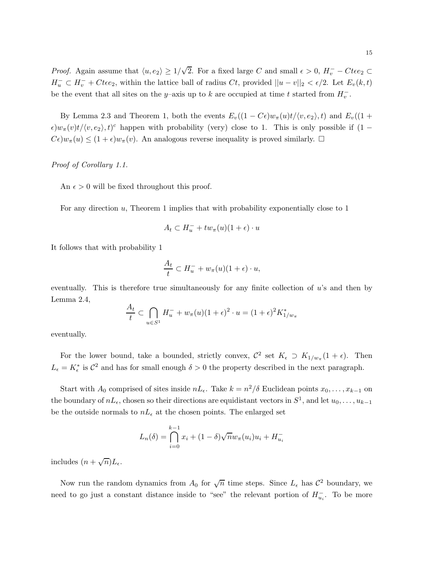*Proof.* Again assume that  $\langle u, e_2 \rangle \ge 1/\sqrt{2}$ . For a fixed large C and small  $\epsilon > 0$ ,  $H_v^- - Ct\epsilon e_2 \subset$  $H_u^- \subset H_v^- + Ctee_2$ , within the lattice ball of radius  $Ct$ , provided  $||u - v||_2 < \epsilon/2$ . Let  $E_v(k, t)$ be the event that all sites on the y–axis up to k are occupied at time t started from  $H_v^-$ .

By Lemma 2.3 and Theorem 1, both the events  $E_v((1 - C\epsilon)w_\pi(u)t/(v, e_2), t)$  and  $E_v((1 +$  $\epsilon$ ) $w_{\pi}(v)t/\langle v, e_2 \rangle, t)$ <sup>c</sup> happen with probability (very) close to 1. This is only possible if (1 –  $C\epsilon)w_{\pi}(u) \leq (1+\epsilon)w_{\pi}(v)$ . An analogous reverse inequality is proved similarly.  $\Box$ 

Proof of Corollary 1.1.

An  $\epsilon > 0$  will be fixed throughout this proof.

For any direction u, Theorem 1 implies that with probability exponentially close to 1

$$
A_t \subset H_u^- + tw_\pi(u)(1+\epsilon) \cdot u
$$

It follows that with probability 1

$$
\frac{A_t}{t} \subset H_u^- + w_\pi(u)(1+\epsilon) \cdot u,
$$

eventually. This is therefore true simultaneously for any finite collection of  $u$ 's and then by Lemma 2.4,

$$
\frac{A_t}{t} \subset \bigcap_{u \in S^1} H_u^- + w_\pi(u)(1+\epsilon)^2 \cdot u = (1+\epsilon)^2 K_{1/w_\pi}^*
$$

eventually.

For the lower bound, take a bounded, strictly convex,  $\mathcal{C}^2$  set  $K_{\epsilon} \supset K_{1/w_{\pi}}(1+\epsilon)$ . Then  $L_{\epsilon} = K_{\epsilon}^{*}$  is  $C^{2}$  and has for small enough  $\delta > 0$  the property described in the next paragraph.

Start with  $A_0$  comprised of sites inside  $nL_{\epsilon}$ . Take  $k = n^2/\delta$  Euclidean points  $x_0, \ldots, x_{k-1}$  on the boundary of  $nL_{\epsilon}$ , chosen so their directions are equidistant vectors in  $S^1$ , and let  $u_0, \ldots, u_{k-1}$ be the outside normals to  $nL_{\epsilon}$  at the chosen points. The enlarged set

$$
L_n(\delta) = \bigcap_{i=0}^{k-1} x_i + (1-\delta)\sqrt{n}w_{\pi}(u_i)u_i + H_{u_i}^{-}
$$

includes  $(n + \sqrt{n})L_{\epsilon}$ .

Now run the random dynamics from  $A_0$  for  $\sqrt{n}$  time steps. Since  $L_{\epsilon}$  has  $\mathcal{C}^2$  boundary, we need to go just a constant distance inside to "see" the relevant portion of  $H_{u_i}^-$ . To be more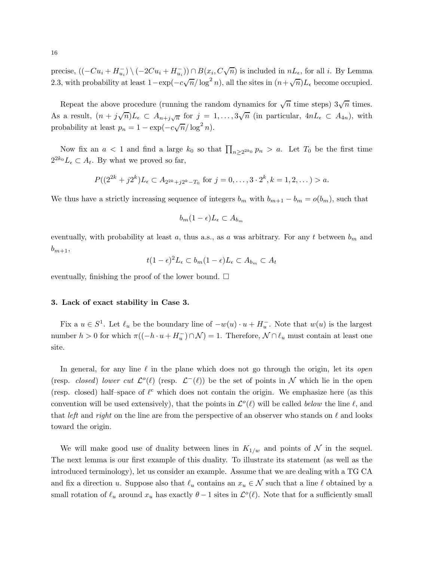precise,  $((-Cu_i + H_{u_i}^-) \setminus (-2Cu_i + H_{u_i}^-)) \cap B(x_i, C\sqrt{n})$  is included in  $nL_{\epsilon}$ , for all *i*. By Lemma 2.3, with probability at least  $1 - \exp(-c\sqrt{n}/\log^2 n)$ , all the sites in  $(n + \sqrt{n})L_{\epsilon}$  become occupied.

Repeat the above procedure (running the random dynamics for  $\sqrt{n}$  time steps)  $3\sqrt{n}$  times. As a result,  $(n+j\sqrt{n})L_{\epsilon} \subset A_{n+j\sqrt{n}}$  for  $j=1,\ldots,3\sqrt{n}$  (in particular,  $4nL_{\epsilon} \subset A_{4n}$ ), with probability at least  $p_n = 1 - \exp(-c\sqrt{n}/\log^2 n)$ .

Now fix an  $a < 1$  and find a large  $k_0$  so that  $\prod_{n \geq 2^{2k_0}} p_n > a$ . Let  $T_0$  be the first time  $2^{2k_0} L_{\epsilon} \subset A_t$ . By what we proved so far,

$$
P((2^{2k} + j2^k)L_{\epsilon} \subset A_{2^{2k} + j2^k - T_0} \text{ for } j = 0, ..., 3 \cdot 2^k, k = 1, 2, ...) > a.
$$

We thus have a strictly increasing sequence of integers  $b_m$  with  $b_{m+1} - b_m = o(b_m)$ , such that

$$
b_m(1-\epsilon)L_{\epsilon}\subset A_{b_m}
$$

eventually, with probability at least a, thus a.s., as a was arbitrary. For any t between  $b_m$  and  $b_{m+1}$ 

$$
t(1-\epsilon)^2 L_{\epsilon} \subset b_m(1-\epsilon)L_{\epsilon} \subset A_{b_m} \subset A_t
$$

eventually, finishing the proof of the lower bound.  $\square$ 

#### 3. Lack of exact stability in Case 3.

Fix a  $u \in S^1$ . Let  $\ell_u$  be the boundary line of  $-w(u) \cdot u + H_u^-$ . Note that  $w(u)$  is the largest number  $h > 0$  for which  $\pi((-h \cdot u + H_u^{-}) \cap \mathcal{N}) = 1$ . Therefore,  $\mathcal{N} \cap \ell_u$  must contain at least one site.

In general, for any line  $\ell$  in the plane which does not go through the origin, let its *open* (resp. *closed*) lower cut  $\mathcal{L}^o(\ell)$  (resp.  $\mathcal{L}^-(\ell)$ ) be the set of points in N which lie in the open (resp. closed) half-space of  $\ell^c$  which does not contain the origin. We emphasize here (as this convention will be used extensively), that the points in  $\mathcal{L}^o(\ell)$  will be called *below* the line  $\ell$ , and that left and right on the line are from the perspective of an observer who stands on  $\ell$  and looks toward the origin.

We will make good use of duality between lines in  $K_{1/w}$  and points of N in the sequel. The next lemma is our first example of this duality. To illustrate its statement (as well as the introduced terminology), let us consider an example. Assume that we are dealing with a TG CA and fix a direction u. Suppose also that  $\ell_u$  contains an  $x_u \in \mathcal{N}$  such that a line  $\ell$  obtained by a small rotation of  $\ell_u$  around  $x_u$  has exactly  $\theta - 1$  sites in  $\mathcal{L}^o(\ell)$ . Note that for a sufficiently small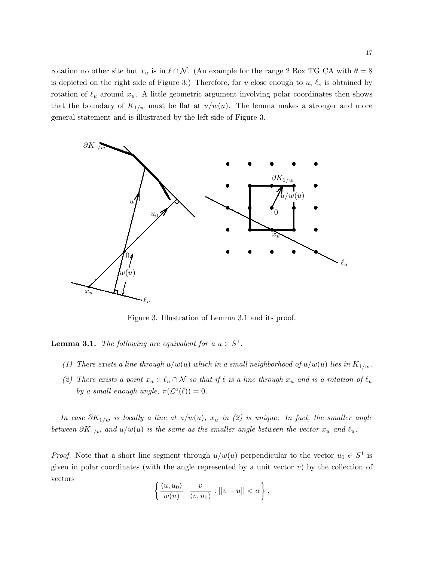rotation no other site but  $x_u$  is in  $\ell \cap \mathcal{N}$ . (An example for the range 2 Box TG CA with  $\theta = 8$ is depicted on the right side of Figure 3.) Therefore, for v close enough to  $u, \ell_v$  is obtained by rotation of  $\ell_u$  around  $x_u$ . A little geometric argument involving polar coordinates then shows that the boundary of  $K_{1/w}$  must be flat at  $u/w(u)$ . The lemma makes a stronger and more general statement and is illustrated by the left side of Figure 3.



Figure 3. Illustration of Lemma 3.1 and its proof.

**Lemma 3.1.** The following are equivalent for a  $u \in S^1$ .

- (1) There exists a line through  $u/w(u)$  which in a small neighborhood of  $u/w(u)$  lies in  $K_{1/w}$ .
- (2) There exists a point  $x_u \in \ell_u \cap \mathcal{N}$  so that if  $\ell$  is a line through  $x_u$  and is a rotation of  $\ell_u$ by a small enough angle,  $\pi(\mathcal{L}^o(\ell)) = 0$ .

In case  $\partial K_{1/w}$  is locally a line at  $u/w(u)$ ,  $x_u$  in (2) is unique. In fact, the smaller angle between  $\partial K_{1/w}$  and  $u/w(u)$  is the same as the smaller angle between the vector  $x_u$  and  $\ell_u$ .

*Proof.* Note that a short line segment through  $u/w(u)$  perpendicular to the vector  $u_0 \in S^1$  is given in polar coordinates (with the angle represented by a unit vector  $v$ ) by the collection of vectors

$$
\left\{\frac{\langle u, u_0\rangle}{w(u)} \cdot \frac{v}{\langle v, u_0\rangle} : ||v - u|| < \alpha\right\},\
$$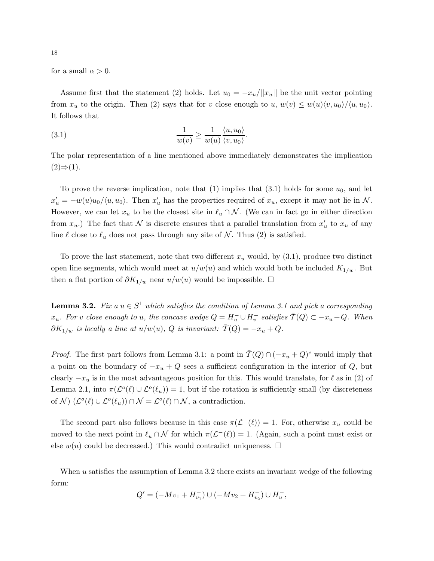for a small  $\alpha > 0$ .

Assume first that the statement (2) holds. Let  $u_0 = -x_u/||x_u||$  be the unit vector pointing from  $x_u$  to the origin. Then (2) says that for v close enough to u,  $w(v) \leq w(u)\langle v, u_0 \rangle/\langle u, u_0 \rangle$ . It follows that

(3.1) 
$$
\frac{1}{w(v)} \ge \frac{1}{w(u)} \frac{\langle u, u_0 \rangle}{\langle v, u_0 \rangle}.
$$

The polar representation of a line mentioned above immediately demonstrates the implication  $(2) \Rightarrow (1)$ .

To prove the reverse implication, note that  $(1)$  implies that  $(3.1)$  holds for some  $u_0$ , and let  $x'_u = -w(u)u_0/\langle u, u_0 \rangle$ . Then  $x'_u$  has the properties required of  $x_u$ , except it may not lie in N. However, we can let  $x_u$  to be the closest site in  $\ell_u \cap \mathcal{N}$ . (We can in fact go in either direction from  $x_u$ .) The fact that  $\mathcal N$  is discrete ensures that a parallel translation from  $x'_u$  to  $x_u$  of any line  $\ell$  close to  $\ell_u$  does not pass through any site of N. Thus (2) is satisfied.

To prove the last statement, note that two different  $x_u$  would, by  $(3.1)$ , produce two distinct open line segments, which would meet at  $u/w(u)$  and which would both be included  $K_{1/w}$ . But then a flat portion of  $\partial K_{1/w}$  near  $u/w(u)$  would be impossible.  $\Box$ 

**Lemma 3.2.** Fix  $a u \in S^1$  which satisfies the condition of Lemma 3.1 and pick a corresponding  $x_u$ . For v close enough to u, the concave wedge  $Q = H_u^-\cup H_v^-$  satisfies  $\overline{T}(Q) \subset -x_u + Q$ . When  $\partial K_{1/w}$  is locally a line at  $u/w(u)$ , Q is invariant:  $\overline{T}(Q) = -x_u + Q$ .

*Proof.* The first part follows from Lemma 3.1: a point in  $\overline{T}(Q) \cap (-x_u + Q)^c$  would imply that a point on the boundary of  $-x_u + Q$  sees a sufficient configuration in the interior of  $Q$ , but clearly  $-x_u$  is in the most advantageous position for this. This would translate, for  $\ell$  as in (2) of Lemma 2.1, into  $\pi(\mathcal{L}^o(\ell) \cup \mathcal{L}^o(\ell_u)) = 1$ , but if the rotation is sufficiently small (by discreteness of N  $(\mathcal{L}^o(\ell) \cup \mathcal{L}^o(\ell_u)) \cap \mathcal{N} = \mathcal{L}^o(\ell) \cap \mathcal{N}$ , a contradiction.

The second part also follows because in this case  $\pi(\mathcal{L}^{-}(\ell)) = 1$ . For, otherwise  $x_u$  could be moved to the next point in  $\ell_u \cap \mathcal{N}$  for which  $\pi(\mathcal{L}^{-}(\ell)) = 1$ . (Again, such a point must exist or else  $w(u)$  could be decreased.) This would contradict uniqueness.  $\Box$ 

When  $u$  satisfies the assumption of Lemma 3.2 there exists an invariant wedge of the following form:

$$
Q' = (-Mv_1 + H_{v_1}^-) \cup (-Mv_2 + H_{v_2}^-) \cup H_u^-,
$$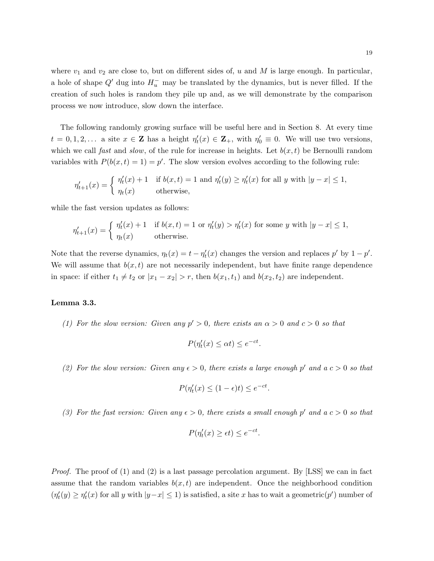where  $v_1$  and  $v_2$  are close to, but on different sides of, u and M is large enough. In particular, a hole of shape  $Q'$  dug into  $H_u^-$  may be translated by the dynamics, but is never filled. If the creation of such holes is random they pile up and, as we will demonstrate by the comparison process we now introduce, slow down the interface.

The following randomly growing surface will be useful here and in Section 8. At every time  $t = 0, 1, 2, \ldots$  a site  $x \in \mathbf{Z}$  has a height  $\eta'_t(x) \in \mathbf{Z}_+$ , with  $\eta'_0 \equiv 0$ . We will use two versions, which we call fast and slow, of the rule for increase in heights. Let  $b(x, t)$  be Bernoulli random variables with  $P(b(x,t) = 1) = p'$ . The slow version evolves according to the following rule:

$$
\eta'_{t+1}(x) = \begin{cases} \eta'_t(x) + 1 & \text{if } b(x, t) = 1 \text{ and } \eta'_t(y) \ge \eta'_t(x) \text{ for all } y \text{ with } |y - x| \le 1, \\ \eta_t(x) & \text{otherwise,} \end{cases}
$$

while the fast version updates as follows:

$$
\eta'_{t+1}(x) = \begin{cases} \eta'_t(x) + 1 & \text{if } b(x, t) = 1 \text{ or } \eta'_t(y) > \eta'_t(x) \text{ for some } y \text{ with } |y - x| \le 1, \\ \eta_t(x) & \text{otherwise.} \end{cases}
$$

Note that the reverse dynamics,  $\eta_t(x) = t - \eta'_t(x)$  changes the version and replaces  $p'$  by  $1 - p'$ . We will assume that  $b(x, t)$  are not necessarily independent, but have finite range dependence in space: if either  $t_1 \neq t_2$  or  $|x_1 - x_2| > r$ , then  $b(x_1, t_1)$  and  $b(x_2, t_2)$  are independent.

## Lemma 3.3.

(1) For the slow version: Given any  $p' > 0$ , there exists an  $\alpha > 0$  and  $c > 0$  so that

$$
P(\eta_t'(x) \le \alpha t) \le e^{-ct}.
$$

(2) For the slow version: Given any  $\epsilon > 0$ , there exists a large enough p' and a  $c > 0$  so that

$$
P(\eta_t'(x) \le (1 - \epsilon)t) \le e^{-ct}.
$$

(3) For the fast version: Given any  $\epsilon > 0$ , there exists a small enough p' and  $a c > 0$  so that

$$
P(\eta_t'(x) \ge \epsilon t) \le e^{-ct}.
$$

*Proof.* The proof of  $(1)$  and  $(2)$  is a last passage percolation argument. By [LSS] we can in fact assume that the random variables  $b(x, t)$  are independent. Once the neighborhood condition  $(\eta'_t(y) \ge \eta'_t(x)$  for all y with  $|y-x| \le 1$ ) is satisfied, a site x has to wait a geometric $(p')$  number of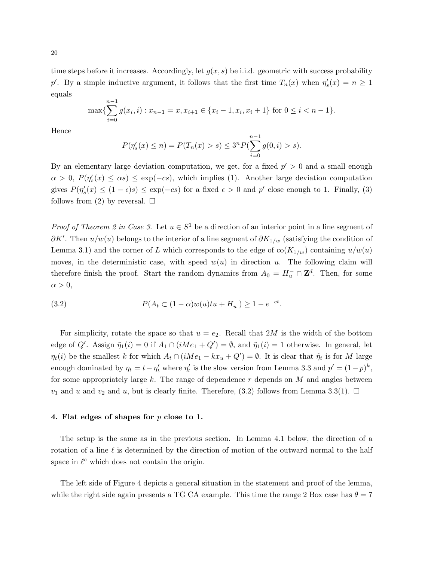time steps before it increases. Accordingly, let  $g(x, s)$  be i.i.d. geometric with success probability p'. By a simple inductive argument, it follows that the first time  $T_n(x)$  when  $\eta_s'(x) = n \ge 1$ equals

$$
\max\{\sum_{i=0}^{n-1} g(x_i, i) : x_{n-1} = x, x_{i+1} \in \{x_i - 1, x_i, x_i + 1\} \text{ for } 0 \le i < n-1\}.
$$

Hence

$$
P(\eta'_s(x) \le n) = P(T_n(x) > s) \le 3^n P(\sum_{i=0}^{n-1} g(0, i) > s).
$$

By an elementary large deviation computation, we get, for a fixed  $p' > 0$  and a small enough  $\alpha > 0$ ,  $P(\eta_s'(x) \leq \alpha s) \leq \exp(-c s)$ , which implies (1). Another large deviation computation gives  $P(\eta_s'(x) \leq (1 - \epsilon)s) \leq \exp(-cs)$  for a fixed  $\epsilon > 0$  and  $p'$  close enough to 1. Finally, (3) follows from (2) by reversal.  $\square$ 

*Proof of Theorem 2 in Case 3.* Let  $u \in S^1$  be a direction of an interior point in a line segment of  $\partial K'$ . Then  $u/w(u)$  belongs to the interior of a line segment of  $\partial K_{1/w}$  (satisfying the condition of Lemma 3.1) and the corner of L which corresponds to the edge of  $\text{co}(K_{1/w})$  containing  $u/w(u)$ moves, in the deterministic case, with speed  $w(u)$  in direction u. The following claim will therefore finish the proof. Start the random dynamics from  $A_0 = H_u^- \cap \mathbb{Z}^d$ . Then, for some  $\alpha > 0$ ,

(3.2) 
$$
P(A_t \subset (1-\alpha)w(u)tu + H_u^{-}) \geq 1 - e^{-ct}.
$$

For simplicity, rotate the space so that  $u = e_2$ . Recall that 2M is the width of the bottom edge of Q'. Assign  $\tilde{\eta}_1(i) = 0$  if  $A_1 \cap (iMe_1 + Q') = \emptyset$ , and  $\tilde{\eta}_1(i) = 1$  otherwise. In general, let  $\eta_t(i)$  be the smallest k for which  $A_t \cap (iMe_1 - kx_u + Q') = \emptyset$ . It is clear that  $\tilde{\eta}_t$  is for M large enough dominated by  $\eta_t = t - \eta'_t$  where  $\eta'_t$  is the slow version from Lemma 3.3 and  $p' = (1-p)^k$ , for some appropriately large k. The range of dependence  $r$  depends on  $M$  and angles between  $v_1$  and u and  $v_2$  and u, but is clearly finite. Therefore, (3.2) follows from Lemma 3.3(1).  $\Box$ 

## 4. Flat edges of shapes for p close to 1.

The setup is the same as in the previous section. In Lemma 4.1 below, the direction of a rotation of a line  $\ell$  is determined by the direction of motion of the outward normal to the half space in  $\ell^c$  which does not contain the origin.

The left side of Figure 4 depicts a general situation in the statement and proof of the lemma, while the right side again presents a TG CA example. This time the range 2 Box case has  $\theta = 7$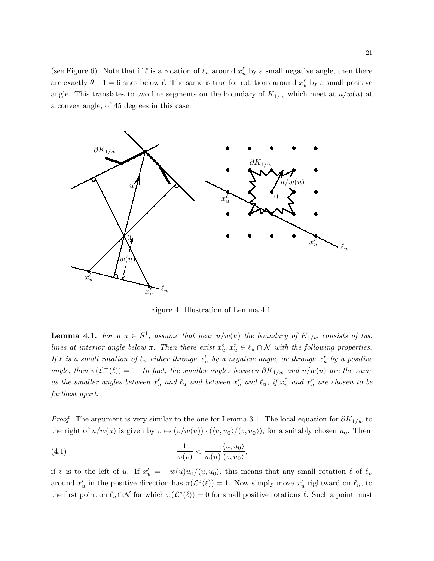(see Figure 6). Note that if  $\ell$  is a rotation of  $\ell_u$  around  $x_u^{\ell}$  by a small negative angle, then there are exactly  $\theta - 1 = 6$  sites below  $\ell$ . The same is true for rotations around  $x_u^r$  by a small positive angle. This translates to two line segments on the boundary of  $K_{1/w}$  which meet at  $u/w(u)$  at a convex angle, of 45 degrees in this case.



Figure 4. Illustration of Lemma 4.1.

**Lemma 4.1.** For a  $u \in S^1$ , assume that near  $u/w(u)$  the boundary of  $K_{1/w}$  consists of two lines at interior angle below  $\pi$ . Then there exist  $x_u^{\ell}, x_u^r \in \ell_u \cap \mathcal{N}$  with the following properties. If  $\ell$  is a small rotation of  $\ell_u$  either through  $x_u^\ell$  by a negative angle, or through  $x_u^r$  by a positive angle, then  $\pi(\mathcal{L}^{-}(\ell)) = 1$ . In fact, the smaller angles between  $\partial K_{1/w}$  and  $u/w(u)$  are the same as the smaller angles between  $x_u^{\ell}$  and  $\ell_u$  and between  $x_u^r$  and  $\ell_u$ , if  $x_u^{\ell}$  and  $x_u^r$  are chosen to be furthest apart.

*Proof.* The argument is very similar to the one for Lemma 3.1. The local equation for  $\partial K_{1/w}$  to the right of  $u/w(u)$  is given by  $v \mapsto (v/w(u)) \cdot (\langle u, u_0 \rangle / \langle v, u_0 \rangle)$ , for a suitably chosen  $u_0$ . Then

(4.1) 
$$
\frac{1}{w(v)} < \frac{1}{w(u)} \frac{\langle u, u_0 \rangle}{\langle v, u_0 \rangle},
$$

if v is to the left of u. If  $x'_u = -w(u)u_0/\langle u, u_0 \rangle$ , this means that any small rotation  $\ell$  of  $\ell_u$ around  $x'_u$  in the positive direction has  $\pi(\mathcal{L}^o(\ell)) = 1$ . Now simply move  $x'_u$  rightward on  $\ell_u$ , to the first point on  $\ell_u \cap \mathcal{N}$  for which  $\pi(\mathcal{L}^o(\ell)) = 0$  for small positive rotations  $\ell$ . Such a point must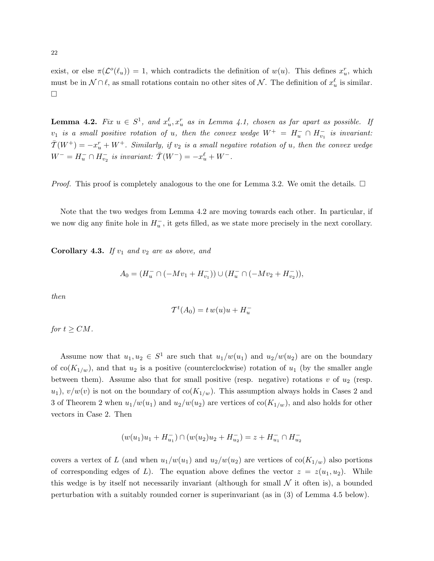exist, or else  $\pi(\mathcal{L}^o(\ell_u)) = 1$ , which contradicts the definition of  $w(u)$ . This defines  $x_u^r$ , which must be in  $\mathcal{N} \cap \ell$ , as small rotations contain no other sites of  $\mathcal{N}$ . The definition of  $x_u^{\ell}$  is similar.  $\Box$ 

**Lemma 4.2.** Fix  $u \in S^1$ , and  $x_u^{\ell}$ ,  $x_u^r$  as in Lemma 4.1, chosen as far apart as possible. If  $v_1$  is a small positive rotation of u, then the convex wedge  $W^+ = H_u^- \cap H_{v_1}^-$  is invariant:  $\overline{T}(W^+) = -x_u^r + W^+$ . Similarly, if  $v_2$  is a small negative rotation of u, then the convex wedge  $W^- = H_u^- \cap H_{v_2}^-$  is invariant:  $\bar{T}(W^-) = -x_u^{\ell} + W^-$ .

*Proof.* This proof is completely analogous to the one for Lemma 3.2. We omit the details.  $\Box$ 

Note that the two wedges from Lemma 4.2 are moving towards each other. In particular, if we now dig any finite hole in  $H_u^-$ , it gets filled, as we state more precisely in the next corollary.

**Corollary 4.3.** If  $v_1$  and  $v_2$  are as above, and

$$
A_0 = (H_u^- \cap (-Mv_1 + H_{v_1}^-)) \cup (H_u^- \cap (-Mv_2 + H_{v_2}^-)),
$$

then

$$
\mathcal{T}^t(A_0) = t w(u)u + H_u^-
$$

for  $t \geq CM$ .

Assume now that  $u_1, u_2 \in S^1$  are such that  $u_1/w(u_1)$  and  $u_2/w(u_2)$  are on the boundary of  $co(K_{1/w})$ , and that  $u_2$  is a positive (counterclockwise) rotation of  $u_1$  (by the smaller angle between them). Assume also that for small positive (resp. negative) rotations  $v$  of  $u_2$  (resp.  $u_1$ ,  $v/w(v)$  is not on the boundary of  $co(K_{1/w})$ . This assumption always holds in Cases 2 and 3 of Theorem 2 when  $u_1/w(u_1)$  and  $u_2/w(u_2)$  are vertices of  $co(K_{1/w})$ , and also holds for other vectors in Case 2. Then

$$
(w(u_1)u_1 + H_{u_1}^-) \cap (w(u_2)u_2 + H_{u_2}^-) = z + H_{u_1}^- \cap H_{u_2}^-
$$

covers a vertex of L (and when  $u_1/w(u_1)$  and  $u_2/w(u_2)$  are vertices of  $\text{co}(K_{1/w})$  also portions of corresponding edges of L). The equation above defines the vector  $z = z(u_1, u_2)$ . While this wedge is by itself not necessarily invariant (although for small  $\mathcal N$  it often is), a bounded perturbation with a suitably rounded corner is superinvariant (as in (3) of Lemma 4.5 below).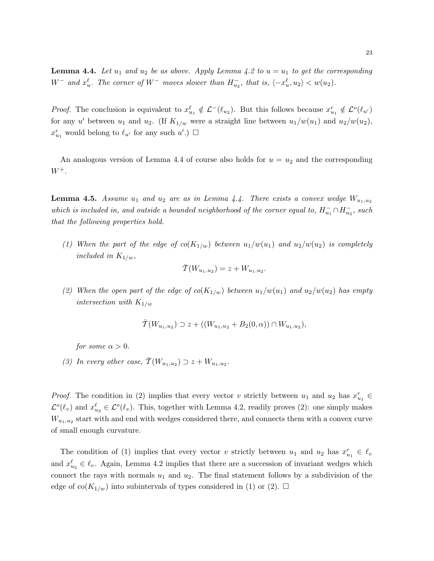**Lemma 4.4.** Let  $u_1$  and  $u_2$  be as above. Apply Lemma 4.2 to  $u = u_1$  to get the corresponding  $W^-$  and  $x_u^{\ell}$ . The corner of  $W^-$  moves slower than  $H_{u_2}^-$ , that is,  $\langle -x_u^{\ell}, u_2 \rangle < w(u_2)$ .

*Proof.* The conclusion is equivalent to  $x_{u_1}^{\ell} \notin \mathcal{L}^{-}(\ell_{u_2})$ . But this follows because  $x_{u_1}^r \notin \mathcal{L}^{\circ}(\ell_{u'})$ for any u' between  $u_1$  and  $u_2$ . (If  $K_{1/w}$  were a straight line between  $u_1/w(u_1)$  and  $u_2/w(u_2)$ ,  $x_{u_1}^r$  would belong to  $\ell_{u'}$  for any such  $u'$ .)  $\Box$ 

An analogous version of Lemma 4.4 of course also holds for  $u = u_2$  and the corresponding  $W^+$ .

**Lemma 4.5.** Assume  $u_1$  and  $u_2$  are as in Lemma 4.4. There exists a convex wedge  $W_{u_1,u_2}$ which is included in, and outside a bounded neighborhood of the corner equal to,  $H_{u_1}^- \cap H_{u_2}^-$ , such that the following properties hold.

(1) When the part of the edge of  $co(K_{1/w})$  between  $u_1/w(u_1)$  and  $u_2/w(u_2)$  is completely included in  $K_{1/w}$ ,

$$
\bar{T}(W_{u_1, u_2}) = z + W_{u_1, u_2}.
$$

(2) When the open part of the edge of  $co(K_{1/w})$  between  $u_1/w(u_1)$  and  $u_2/w(u_2)$  has empty intersection with  $K_{1/w}$ 

$$
\overline{T}(W_{u_1,u_2}) \supset z + ((W_{u_1,u_2} + B_2(0,\alpha)) \cap W_{u_1,u_2}),
$$

for some  $\alpha > 0$ .

(3) In every other case,  $\overline{T}(W_{u_1, u_2}) \supset z + W_{u_1, u_2}$ .

*Proof.* The condition in (2) implies that every vector v strictly between  $u_1$  and  $u_2$  has  $x_{u_1}^r \in$  $\mathcal{L}^o(\ell_v)$  and  $x_{u_2}^{\ell} \in \mathcal{L}^o(\ell_v)$ . This, together with Lemma 4.2, readily proves (2): one simply makes  $W_{u_1, u_2}$  start with and end with wedges considered there, and connects them with a convex curve of small enough curvature.

The condition of (1) implies that every vector v strictly between  $u_1$  and  $u_2$  has  $x_{u_1}^r \in \ell_v$ and  $x_{u_2}^{\ell} \in \ell_v$ . Again, Lemma 4.2 implies that there are a succession of invariant wedges which connect the rays with normals  $u_1$  and  $u_2$ . The final statement follows by a subdivision of the edge of co $(K_{1/w})$  into subintervals of types considered in (1) or (2).  $\Box$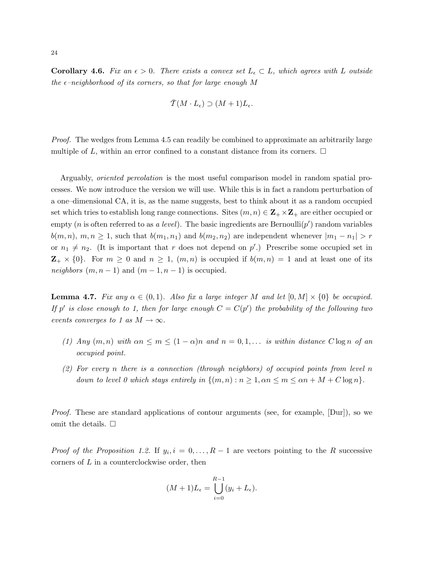**Corollary 4.6.** Fix an  $\epsilon > 0$ . There exists a convex set  $L_{\epsilon} \subset L$ , which agrees with L outside the  $\epsilon$ -neighborhood of its corners, so that for large enough M

$$
\bar{T}(M\cdot L_{\epsilon}) \supset (M+1)L_{\epsilon}.
$$

Proof. The wedges from Lemma 4.5 can readily be combined to approximate an arbitrarily large multiple of L, within an error confined to a constant distance from its corners.  $\Box$ 

Arguably, oriented percolation is the most useful comparison model in random spatial processes. We now introduce the version we will use. While this is in fact a random perturbation of a one–dimensional CA, it is, as the name suggests, best to think about it as a random occupied set which tries to establish long range connections. Sites  $(m, n) \in \mathbb{Z}_+ \times \mathbb{Z}_+$  are either occupied or empty (*n* is often referred to as *a level*). The basic ingredients are Bernoulli(*p'*) random variables  $b(m, n), m, n \geq 1$ , such that  $b(m_1, n_1)$  and  $b(m_2, n_2)$  are independent whenever  $|m_1 - n_1| > r$ or  $n_1 \neq n_2$ . (It is important that r does not depend on p'.) Prescribe some occupied set in  $\mathbf{Z}_{+} \times \{0\}$ . For  $m \geq 0$  and  $n \geq 1$ ,  $(m, n)$  is occupied if  $b(m, n) = 1$  and at least one of its *neighbors*  $(m, n-1)$  and  $(m-1, n-1)$  is occupied.

**Lemma 4.7.** Fix any  $\alpha \in (0,1)$ . Also fix a large integer M and let  $[0,M] \times \{0\}$  be occupied. If p' is close enough to 1, then for large enough  $C = C(p')$  the probability of the following two events converges to 1 as  $M \to \infty$ .

- (1) Any  $(m, n)$  with  $\alpha n \leq m \leq (1 \alpha)n$  and  $n = 0, 1, \ldots$  is within distance  $C \log n$  of an occupied point.
- (2) For every n there is a connection (through neighbors) of occupied points from level n down to level 0 which stays entirely in  $\{(m,n): n \geq 1, \alpha n \leq m \leq \alpha n + M + C \log n\}.$

Proof. These are standard applications of contour arguments (see, for example, [Dur]), so we omit the details.  $\square$ 

*Proof of the Proposition 1.2.* If  $y_i$ ,  $i = 0, ..., R-1$  are vectors pointing to the R successive corners of L in a counterclockwise order, then

$$
(M+1)L_{\epsilon} = \bigcup_{i=0}^{R-1} (y_i + L_{\epsilon}).
$$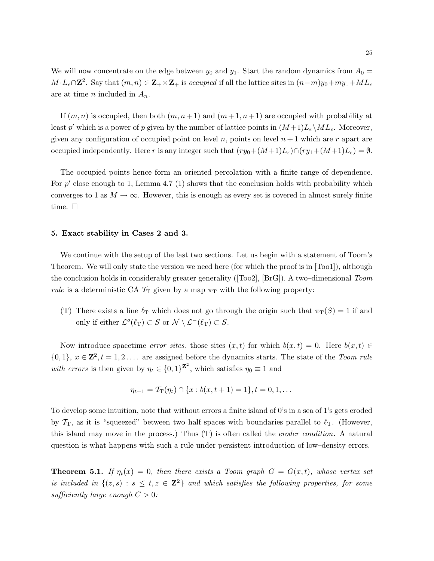We will now concentrate on the edge between  $y_0$  and  $y_1$ . Start the random dynamics from  $A_0 =$  $M \cdot L_{\epsilon} \cap \mathbb{Z}^2$ . Say that  $(m, n) \in \mathbb{Z}_+ \times \mathbb{Z}_+$  is *occupied* if all the lattice sites in  $(n-m)y_0 + my_1 + ML_{\epsilon}$ are at time *n* included in  $A_n$ .

If  $(m, n)$  is occupied, then both  $(m, n+1)$  and  $(m+1, n+1)$  are occupied with probability at least p' which is a power of p given by the number of lattice points in  $(M+1)L_{\epsilon} \backslash ML_{\epsilon}$ . Moreover, given any configuration of occupied point on level  $n$ , points on level  $n + 1$  which are r apart are occupied independently. Here r is any integer such that  $(ry_0+(M+1)L_{\epsilon})\cap (ry_1+(M+1)L_{\epsilon}) = \emptyset$ .

The occupied points hence form an oriented percolation with a finite range of dependence. For  $p'$  close enough to 1, Lemma 4.7 (1) shows that the conclusion holds with probability which converges to 1 as  $M \to \infty$ . However, this is enough as every set is covered in almost surely finite time.  $\square$ 

#### 5. Exact stability in Cases 2 and 3.

We continue with the setup of the last two sections. Let us begin with a statement of Toom's Theorem. We will only state the version we need here (for which the proof is in [Too1]), although the conclusion holds in considerably greater generality ( $[Too2]$ ,  $[BrG]$ ). A two–dimensional Toom rule is a deterministic CA  $T_T$  given by a map  $\pi_T$  with the following property:

(T) There exists a line  $\ell_T$  which does not go through the origin such that  $\pi_T(S) = 1$  if and only if either  $\mathcal{L}^o(\ell_{\rm T}) \subset S$  or  $\mathcal{N} \setminus \mathcal{L}^-(\ell_{\rm T}) \subset S$ .

Now introduce spacetime error sites, those sites  $(x, t)$  for which  $b(x, t) = 0$ . Here  $b(x, t) \in$  $\{0,1\}, x \in \mathbb{Z}^2, t = 1,2 \ldots$  are assigned before the dynamics starts. The state of the Toom rule with errors is then given by  $\eta_t \in \{0,1\}^{\mathbf{Z}^2}$ , which satisfies  $\eta_0 \equiv 1$  and

$$
\eta_{t+1} = \mathcal{T}_{\mathcal{T}}(\eta_t) \cap \{x : b(x, t+1) = 1\}, t = 0, 1, \dots
$$

To develop some intuition, note that without errors a finite island of 0's in a sea of 1's gets eroded by  $\mathcal{T}_{T}$ , as it is "squeezed" between two half spaces with boundaries parallel to  $\ell_{T}$ . (However, this island may move in the process.) Thus (T) is often called the eroder condition. A natural question is what happens with such a rule under persistent introduction of low–density errors.

**Theorem 5.1.** If  $\eta_t(x) = 0$ , then there exists a Toom graph  $G = G(x,t)$ , whose vertex set is included in  $\{(z,s) : s \leq t, z \in \mathbb{Z}^2\}$  and which satisfies the following properties, for some sufficiently large enough  $C > 0$ :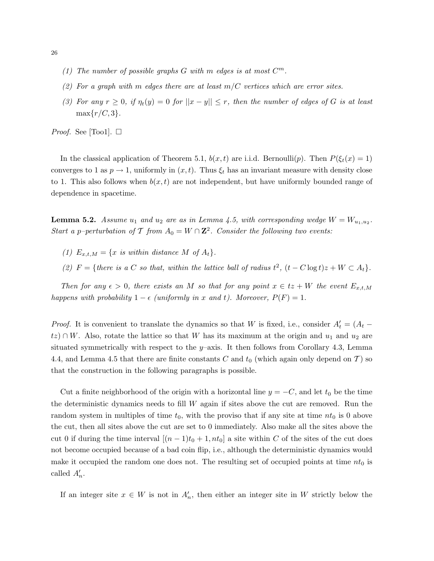- (1) The number of possible graphs  $G$  with  $m$  edges is at most  $C^m$ .
- (2) For a graph with m edges there are at least  $m/C$  vertices which are error sites.
- (3) For any  $r \geq 0$ , if  $\eta_t(y) = 0$  for  $||x y|| \leq r$ , then the number of edges of G is at least  $\max\{r/C, 3\}.$

*Proof.* See [Too1].  $\Box$ 

In the classical application of Theorem 5.1,  $b(x, t)$  are i.i.d. Bernoulli(p). Then  $P(\xi_t(x) = 1)$ converges to 1 as  $p \to 1$ , uniformly in  $(x, t)$ . Thus  $\xi_t$  has an invariant measure with density close to 1. This also follows when  $b(x, t)$  are not independent, but have uniformly bounded range of dependence in spacetime.

**Lemma 5.2.** Assume  $u_1$  and  $u_2$  are as in Lemma 4.5, with corresponding wedge  $W = W_{u_1, u_2}$ . Start a p-perturbation of T from  $A_0 = W \cap \mathbb{Z}^2$ . Consider the following two events:

- (1)  $E_{x,t,M} = \{x \text{ is within distance } M \text{ of } A_t\}.$
- (2)  $F = \{ there \ is \ a \ C \ so \ that, \ within \ the \ lattice \ ball \ of \ radius \ t^2, \ (t C \log t) z + W \subset A_t \}.$

Then for any  $\epsilon > 0$ , there exists an M so that for any point  $x \in tz + W$  the event  $E_{x,t,M}$ happens with probability  $1 - \epsilon$  (uniformly in x and t). Moreover,  $P(F) = 1$ .

*Proof.* It is convenient to translate the dynamics so that W is fixed, i.e., consider  $A'_t = (A_t$  $tz$ ) ∩ W. Also, rotate the lattice so that W has its maximum at the origin and  $u_1$  and  $u_2$  are situated symmetrically with respect to the  $y$ –axis. It then follows from Corollary 4.3, Lemma 4.4, and Lemma 4.5 that there are finite constants C and  $t_0$  (which again only depend on T) so that the construction in the following paragraphs is possible.

Cut a finite neighborhood of the origin with a horizontal line  $y = -C$ , and let  $t_0$  be the time the deterministic dynamics needs to fill  $W$  again if sites above the cut are removed. Run the random system in multiples of time  $t_0$ , with the proviso that if any site at time  $nt_0$  is 0 above the cut, then all sites above the cut are set to 0 immediately. Also make all the sites above the cut 0 if during the time interval  $[(n-1)t_0 + 1, nt_0]$  a site within C of the sites of the cut does not become occupied because of a bad coin flip, i.e., although the deterministic dynamics would make it occupied the random one does not. The resulting set of occupied points at time  $nt_0$  is called  $A'_n$ .

If an integer site  $x \in W$  is not in  $A'_n$ , then either an integer site in W strictly below the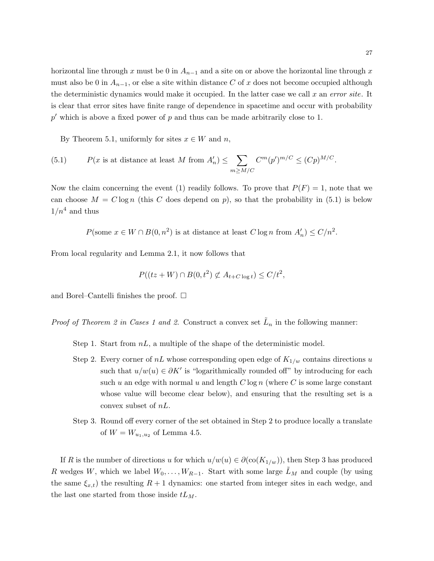horizontal line through x must be 0 in  $A_{n-1}$  and a site on or above the horizontal line through x must also be 0 in  $A_{n-1}$ , or else a site within distance C of x does not become occupied although the deterministic dynamics would make it occupied. In the latter case we call  $x$  an error site. It is clear that error sites have finite range of dependence in spacetime and occur with probability  $p'$  which is above a fixed power of  $p$  and thus can be made arbitrarily close to 1.

By Theorem 5.1, uniformly for sites  $x \in W$  and  $n$ ,

(5.1) 
$$
P(x \text{ is at distance at least } M \text{ from } A'_n) \leq \sum_{m \geq M/C} C^m (p')^{m/C} \leq (Cp)^{M/C}.
$$

Now the claim concerning the event (1) readily follows. To prove that  $P(F) = 1$ , note that we can choose  $M = C \log n$  (this C does depend on p), so that the probability in (5.1) is below  $1/n^4$  and thus

$$
P(\text{some } x \in W \cap B(0, n^2) \text{ is at distance at least } C \log n \text{ from } A'_n) \le C/n^2.
$$

From local regularity and Lemma 2.1, it now follows that

$$
P((tz+W)\cap B(0,t^2)\not\subset A_{t+C\log t})\leq C/t^2,
$$

and Borel–Cantelli finishes the proof.  $\square$ 

*Proof of Theorem 2 in Cases 1 and 2.* Construct a convex set  $\tilde{L}_n$  in the following manner:

Step 1. Start from  $nL$ , a multiple of the shape of the deterministic model.

- Step 2. Every corner of  $nL$  whose corresponding open edge of  $K_{1/w}$  contains directions u such that  $u/w(u) \in \partial K'$  is "logarithmically rounded off" by introducing for each such u an edge with normal u and length  $C \log n$  (where C is some large constant whose value will become clear below), and ensuring that the resulting set is a convex subset of nL.
- Step 3. Round off every corner of the set obtained in Step 2 to produce locally a translate of  $W = W_{u_1, u_2}$  of Lemma 4.5.

If R is the number of directions u for which  $u/w(u) \in \partial(\text{co}(K_{1/w}))$ , then Step 3 has produced R wedges W, which we label  $W_0, \ldots, W_{R-1}$ . Start with some large  $\tilde{L}_M$  and couple (by using the same  $\xi_{x,t}$ ) the resulting  $R+1$  dynamics: one started from integer sites in each wedge, and the last one started from those inside  $tL_M$ .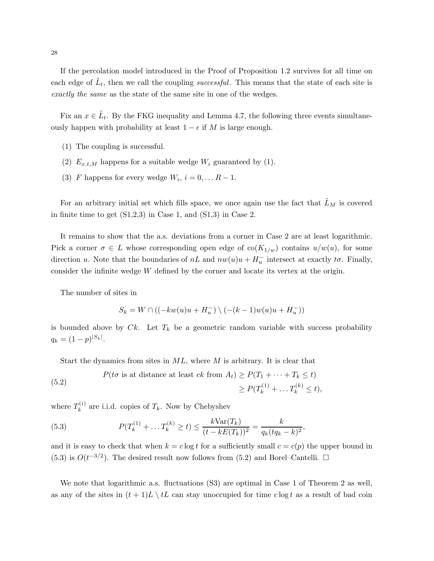If the percolation model introduced in the Proof of Proposition 1.2 survives for all time on each edge of  $\tilde{L}_t$ , then we call the coupling successful. This means that the state of each site is exactly the same as the state of the same site in one of the wedges.

Fix an  $x \in \tilde{L}_t$ . By the FKG inequality and Lemma 4.7, the following three events simultaneously happen with probability at least  $1 - \epsilon$  if M is large enough.

- (1) The coupling is successful.
- (2)  $E_{x,t,M}$  happens for a suitable wedge  $W_i$  guaranteed by (1).
- (3) F happens for every wedge  $W_i$ ,  $i = 0, \dots R 1$ .

For an arbitrary initial set which fills space, we once again use the fact that  $\tilde{L}_M$  is covered in finite time to get  $(S1,2,3)$  in Case 1, and  $(S1,3)$  in Case 2.

It remains to show that the a.s. deviations from a corner in Case 2 are at least logarithmic. Pick a corner  $\sigma \in L$  whose corresponding open edge of  $\text{co}(K_{1/w})$  contains  $u/w(u)$ , for some direction u. Note that the boundaries of  $nL$  and  $nw(u)u + H_u^-$  intersect at exactly  $t\sigma$ . Finally, consider the infinite wedge W defined by the corner and locate its vertex at the origin.

The number of sites in

$$
S_k = W \cap ((-kw(u)u + H_u^{-}) \setminus (-(k-1)w(u)u + H_u^{-}))
$$

is bounded above by  $Ck$ . Let  $T_k$  be a geometric random variable with success probability  $q_k = (1-p)^{|S_k|}.$ 

Start the dynamics from sites in  $ML$ , where M is arbitrary. It is clear that

(5.2) 
$$
P(t\sigma \text{ is at distance at least } ck \text{ from } A_t) \ge P(T_1 + \dots + T_k \le t)
$$

$$
\ge P(T_k^{(1)} + \dots T_k^{(k)} \le t),
$$

where  $T_k^{(i)}$  $\mathbf{k}^{(i)}$  are i.i.d. copies of  $T_k$ . Now by Chebyshev

(5.3) 
$$
P(T_k^{(1)} + \dots T_k^{(k)} \ge t) \le \frac{k \text{Var}(T_k)}{(t - kE(T_k))^2} = \frac{k}{q_k(tq_k - k)^2},
$$

and it is easy to check that when  $k = c \log t$  for a sufficiently small  $c = c(p)$  the upper bound in (5.3) is  $O(t^{-3/2})$ . The desired result now follows from (5.2) and Borel–Cantelli.  $\Box$ 

We note that logarithmic a.s. fluctuations (S3) are optimal in Case 1 of Theorem 2 as well, as any of the sites in  $(t + 1)L \setminus tL$  can stay unoccupied for time clog t as a result of bad coin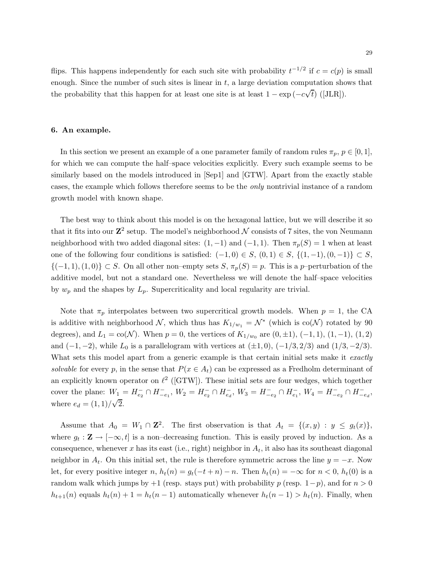flips. This happens independently for each such site with probability  $t^{-1/2}$  if  $c = c(p)$  is small enough. Since the number of such sites is linear in  $t$ , a large deviation computation shows that the probability that this happen for at least one site is at least  $1 - \exp(-c\sqrt{t})$  ([JLR]).

### 6. An example.

In this section we present an example of a one parameter family of random rules  $\pi_p$ ,  $p \in [0,1]$ , for which we can compute the half–space velocities explicitly. Every such example seems to be similarly based on the models introduced in [Sep1] and [GTW]. Apart from the exactly stable cases, the example which follows therefore seems to be the only nontrivial instance of a random growth model with known shape.

The best way to think about this model is on the hexagonal lattice, but we will describe it so that it fits into our  $\mathbf{Z}^2$  setup. The model's neighborhood  $\mathcal N$  consists of 7 sites, the von Neumann neighborhood with two added diagonal sites:  $(1, -1)$  and  $(-1, 1)$ . Then  $\pi_p(S) = 1$  when at least one of the following four conditions is satisfied:  $(-1,0) \in S$ ,  $(0,1) \in S$ ,  $\{(1,-1),(0,-1)\} \subset S$ ,  $\{(-1,1), (1,0)\}\subset S$ . On all other non–empty sets  $S, \pi_p(S) = p$ . This is a p–perturbation of the additive model, but not a standard one. Nevertheless we will denote the half–space velocities by  $w_p$  and the shapes by  $L_p$ . Supercriticality and local regularity are trivial.

Note that  $\pi_p$  interpolates between two supercritical growth models. When  $p = 1$ , the CA is additive with neighborhood  $\mathcal{N}$ , which thus has  $K_{1/w_1} = \mathcal{N}^*$  (which is  $co(\mathcal{N})$  rotated by 90 degrees), and  $L_1 = \text{co}(\mathcal{N})$ . When  $p = 0$ , the vertices of  $K_{1/w_0}$  are  $(0, \pm 1)$ ,  $(-1, 1)$ ,  $(1, -1)$ ,  $(1, 2)$ and  $(-1, -2)$ , while  $L_0$  is a parallelogram with vertices at  $(\pm 1, 0)$ ,  $(-1/3, 2/3)$  and  $(1/3, -2/3)$ . What sets this model apart from a generic example is that certain initial sets make it exactly solvable for every p, in the sense that  $P(x \in A_t)$  can be expressed as a Fredholm determinant of an explicitly known operator on  $\ell^2$  ([GTW]). These initial sets are four wedges, which together cover the plane:  $W_1 = H_{e_2}^- \cap H_{-e_1}^-$ ,  $W_2 = H_{e_2}^- \cap H_{e_d}^-$ ,  $W_3 = H_{-e_2}^- \cap H_{e_1}^-$ ,  $W_4 = H_{-e_2}^- \cap H_{-e_d}^-$ , where  $e_d = (1, 1) / \sqrt{2}$ .

Assume that  $A_0 = W_1 \cap \mathbb{Z}^2$ . The first observation is that  $A_t = \{(x, y) : y \leq g_t(x)\},\$ where  $g_t: \mathbf{Z} \to [-\infty, t]$  is a non-decreasing function. This is easily proved by induction. As a consequence, whenever x has its east (i.e., right) neighbor in  $A_t$ , it also has its southeast diagonal neighbor in  $A_t$ . On this initial set, the rule is therefore symmetric across the line  $y = -x$ . Now let, for every positive integer n,  $h_t(n) = g_t(-t + n) - n$ . Then  $h_t(n) = -\infty$  for  $n < 0$ ,  $h_t(0)$  is a random walk which jumps by +1 (resp. stays put) with probability p (resp.  $1-p$ ), and for  $n > 0$  $h_{t+1}(n)$  equals  $h_t(n) + 1 = h_t(n-1)$  automatically whenever  $h_t(n-1) > h_t(n)$ . Finally, when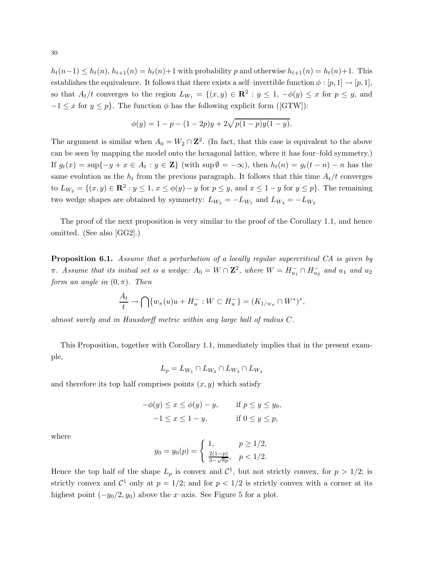$h_t(n-1) \leq h_t(n), h_{t+1}(n) = h_t(n) + 1$  with probability p and otherwise  $h_{t+1}(n) = h_t(n) + 1$ . This establishes the equivalence. It follows that there exists a self–invertible function  $\phi : [p, 1] \rightarrow [p, 1],$ so that  $A_t/t$  converges to the region  $L_{W_1} = \{(x, y) \in \mathbb{R}^2 : y \leq 1, -\phi(y) \leq x \text{ for } p \leq y, \text{ and }$  $-1 \leq x$  for  $y \leq p$ . The function  $\phi$  has the following explicit form ([GTW]):

$$
\phi(y) = 1 - p - (1 - 2p)y + 2\sqrt{p(1 - p)y(1 - y)}.
$$

The argument is similar when  $A_0 = W_2 \cap \mathbb{Z}^2$ . (In fact, that this case is equivalent to the above can be seen by mapping the model onto the hexagonal lattice, where it has four–fold symmetry.) If  $g_t(x) = \sup\{-y + x \in A_t : y \in \mathbb{Z}\}\$  (with  $\sup \emptyset = -\infty$ ), then  $h_t(n) = g_t(t - n) - n$  has the same evolution as the  $h_t$  from the previous paragraph. It follows that this time  $A_t/t$  converges to  $L_{W_2} = \{(x, y) \in \mathbb{R}^2 : y \le 1, x \le \phi(y) - y \text{ for } p \le y, \text{ and } x \le 1 - y \text{ for } y \le p\}.$  The remaining two wedge shapes are obtained by symmetry:  $L_{W_3} = -L_{W_1}$  and  $L_{W_4} = -L_{W_2}$ 

The proof of the next proposition is very similar to the proof of the Corollary 1.1, and hence omitted. (See also [GG2].)

**Proposition 6.1.** Assume that a perturbation of a locally regular supercritical CA is given by  $\pi$ . Assume that its initial set is a wedge:  $A_0 = W \cap \mathbf{Z}^2$ , where  $W = H_{u_1}^- \cap H_{u_2}^-$  and  $u_1$  and  $u_2$ form an angle in  $(0, \pi)$ . Then

$$
\frac{A_t}{t} \to \bigcap \{ w_\pi(u)u + H_u^- : W \subset H_u^- \} = (K_{1/w_\pi} \cap W^*)^*,
$$

almost surely and in Hausdorff metric within any large ball of radius C.

This Proposition, together with Corollary 1.1, immediately implies that in the present example,

$$
L_p = L_{W_1} \cap L_{W_2} \cap L_{W_3} \cap L_{W_4}
$$

and therefore its top half comprises points  $(x, y)$  which satisfy

$$
-\phi(y) \le x \le \phi(y) - y, \quad \text{if } p \le y \le y_0, \n-1 \le x \le 1 - y, \quad \text{if } 0 \le y \le p,
$$

where

$$
y_0 = y_0(p) = \begin{cases} 1, & p \ge 1/2, \\ \frac{2(1-p)}{3-\sqrt{8p}}, & p < 1/2. \end{cases}
$$

Hence the top half of the shape  $L_p$  is convex and  $\mathcal{C}^1$ , but not strictly convex, for  $p > 1/2$ ; is strictly convex and  $C^1$  only at  $p = 1/2$ ; and for  $p < 1/2$  is strictly convex with a corner at its highest point  $(-y_0/2, y_0)$  above the x–axis. See Figure 5 for a plot.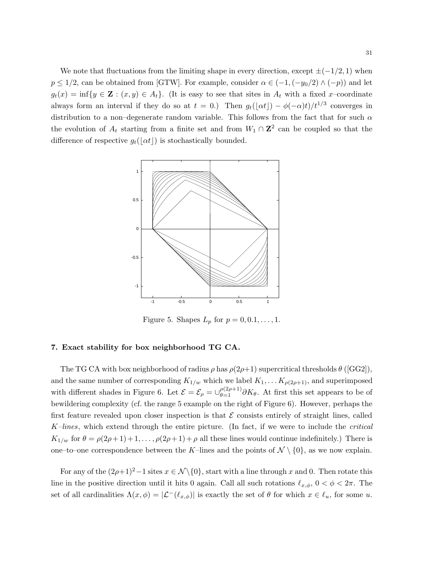We note that fluctuations from the limiting shape in every direction, except  $\pm(-1/2, 1)$  when  $p \le 1/2$ , can be obtained from [GTW]. For example, consider  $\alpha \in (-1, (-y_0/2) \wedge (-p))$  and let  $g_t(x) = \inf\{y \in \mathbf{Z} : (x, y) \in A_t\}.$  (It is easy to see that sites in  $A_t$  with a fixed x-coordinate always form an interval if they do so at  $t = 0$ .) Then  $g_t(\lfloor \alpha t \rfloor) - \phi(-\alpha)t)/t^{1/3}$  converges in distribution to a non–degenerate random variable. This follows from the fact that for such  $\alpha$ the evolution of  $A_t$  starting from a finite set and from  $W_1 \cap \mathbb{Z}^2$  can be coupled so that the difference of respective  $g_t(|\alpha t|)$  is stochastically bounded.



Figure 5. Shapes  $L_p$  for  $p = 0, 0.1, \ldots, 1$ .

# 7. Exact stability for box neighborhood TG CA.

The TG CA with box neighborhood of radius  $\rho$  has  $\rho(2\rho+1)$  supercritical thresholds  $\theta$  ([GG2]), and the same number of corresponding  $K_{1/w}$  which we label  $K_1, \ldots K_{\rho(2\rho+1)}$ , and superimposed with different shades in Figure 6. Let  $\mathcal{E} = \mathcal{E}_{\rho} = \bigcup_{\theta=1}^{\rho(2\rho+1)} \partial K_{\theta}$ . At first this set appears to be of bewildering complexity (cf. the range 5 example on the right of Figure 6). However, perhaps the first feature revealed upon closer inspection is that  $\mathcal E$  consists entirely of straight lines, called  $K$ -lines, which extend through the entire picture. (In fact, if we were to include the *critical*  $K_{1/w}$  for  $\theta = \rho(2\rho + 1) + 1, \ldots, \rho(2\rho + 1) + \rho$  all these lines would continue indefinitely.) There is one–to–one correspondence between the K–lines and the points of  $\mathcal{N} \setminus \{0\}$ , as we now explain.

For any of the  $(2\rho+1)^2-1$  sites  $x \in \mathcal{N}\setminus\{0\}$ , start with a line through x and 0. Then rotate this line in the positive direction until it hits 0 again. Call all such rotations  $\ell_{x,\phi}$ ,  $0 < \phi < 2\pi$ . The set of all cardinalities  $\Lambda(x, \phi) = |\mathcal{L}^-(\ell_{x, \phi})|$  is exactly the set of  $\theta$  for which  $x \in \ell_u$ , for some u.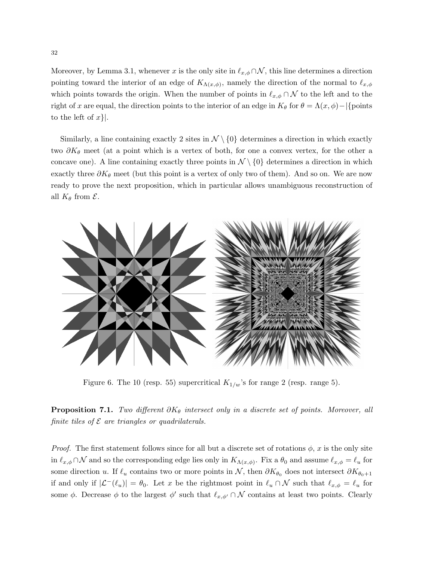Moreover, by Lemma 3.1, whenever x is the only site in  $\ell_{x,\phi} \cap \mathcal{N}$ , this line determines a direction pointing toward the interior of an edge of  $K_{\Lambda(x,\phi)}$ , namely the direction of the normal to  $\ell_{x,\phi}$ which points towards the origin. When the number of points in  $\ell_{x,\phi} \cap \mathcal{N}$  to the left and to the right of x are equal, the direction points to the interior of an edge in  $K_{\theta}$  for  $\theta = \Lambda(x,\phi) - |\{\text{points}\}\rangle$ to the left of  $x$ }.

Similarly, a line containing exactly 2 sites in  $\mathcal{N} \setminus \{0\}$  determines a direction in which exactly two  $\partial K_{\theta}$  meet (at a point which is a vertex of both, for one a convex vertex, for the other a concave one). A line containing exactly three points in  $\mathcal{N} \setminus \{0\}$  determines a direction in which exactly three  $\partial K_{\theta}$  meet (but this point is a vertex of only two of them). And so on. We are now ready to prove the next proposition, which in particular allows unambiguous reconstruction of all  $K_{\theta}$  from  $\mathcal{E}.$ 



Figure 6. The 10 (resp. 55) supercritical  $K_{1/w}$ 's for range 2 (resp. range 5).

**Proposition 7.1.** Two different  $\partial K_{\theta}$  intersect only in a discrete set of points. Moreover, all finite tiles of  $\mathcal E$  are triangles or quadrilaterals.

*Proof.* The first statement follows since for all but a discrete set of rotations  $\phi$ , x is the only site in  $\ell_{x,\phi} \cap \mathcal{N}$  and so the corresponding edge lies only in  $K_{\Lambda(x,\phi)}$ . Fix a  $\theta_0$  and assume  $\ell_{x,\phi} = \ell_u$  for some direction u. If  $\ell_u$  contains two or more points in N, then  $\partial K_{\theta_0}$  does not intersect  $\partial K_{\theta_0+1}$ if and only if  $|\mathcal{L}^-(\ell_u)| = \theta_0$ . Let x be the rightmost point in  $\ell_u \cap \mathcal{N}$  such that  $\ell_{x,\phi} = \ell_u$  for some  $\phi$ . Decrease  $\phi$  to the largest  $\phi'$  such that  $\ell_{x,\phi'} \cap \mathcal{N}$  contains at least two points. Clearly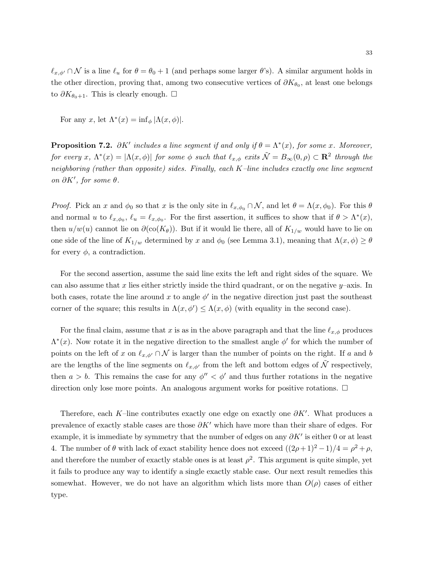$\ell_{x,\phi'} \cap \mathcal{N}$  is a line  $\ell_u$  for  $\theta = \theta_0 + 1$  (and perhaps some larger  $\theta$ 's). A similar argument holds in the other direction, proving that, among two consecutive vertices of  $\partial K_{\theta_0}$ , at least one belongs to  $\partial K_{\theta_0+1}$ . This is clearly enough. □

For any x, let  $\Lambda^*(x) = \inf_{\phi} |\Lambda(x, \phi)|$ .

**Proposition 7.2.**  $\partial K'$  includes a line segment if and only if  $\theta = \Lambda^*(x)$ , for some x. Moreover, for every  $x, \Lambda^*(x) = |\Lambda(x, \phi)|$  for some  $\phi$  such that  $\ell_{x, \phi}$  exits  $\tilde{\mathcal{N}} = B_{\infty}(0, \rho) \subset \mathbb{R}^2$  through the neighboring (rather than opposite) sides. Finally, each  $K$ -line includes exactly one line segment on  $\partial K'$ , for some  $\theta$ .

*Proof.* Pick an x and  $\phi_0$  so that x is the only site in  $\ell_{x,\phi_0} \cap \mathcal{N}$ , and let  $\theta = \Lambda(x, \phi_0)$ . For this  $\theta$ and normal u to  $\ell_{x,\phi_0}$ ,  $\ell_u = \ell_{x,\phi_0}$ . For the first assertion, it suffices to show that if  $\theta > \Lambda^*(x)$ , then  $u/w(u)$  cannot lie on  $\partial(\text{co}(K_{\theta}))$ . But if it would lie there, all of  $K_{1/w}$  would have to lie on one side of the line of  $K_{1/w}$  determined by x and  $\phi_0$  (see Lemma 3.1), meaning that  $\Lambda(x,\phi) \ge \theta$ for every  $\phi$ , a contradiction.

For the second assertion, assume the said line exits the left and right sides of the square. We can also assume that x lies either strictly inside the third quadrant, or on the negative  $y$ –axis. In both cases, rotate the line around x to angle  $\phi'$  in the negative direction just past the southeast corner of the square; this results in  $\Lambda(x, \phi') \leq \Lambda(x, \phi)$  (with equality in the second case).

For the final claim, assume that x is as in the above paragraph and that the line  $\ell_{x,\phi}$  produces  $\Lambda^*(x)$ . Now rotate it in the negative direction to the smallest angle  $\phi'$  for which the number of points on the left of x on  $\ell_{x,\phi'} \cap \mathcal{N}$  is larger than the number of points on the right. If a and b are the lengths of the line segments on  $\ell_{x,\phi'}$  from the left and bottom edges of  $\tilde{\mathcal{N}}$  respectively, then  $a > b$ . This remains the case for any  $\phi'' < \phi'$  and thus further rotations in the negative direction only lose more points. An analogous argument works for positive rotations.  $\Box$ 

Therefore, each K–line contributes exactly one edge on exactly one  $\partial K'$ . What produces a prevalence of exactly stable cases are those  $\partial K'$  which have more than their share of edges. For example, it is immediate by symmetry that the number of edges on any  $\partial K'$  is either 0 or at least 4. The number of  $\theta$  with lack of exact stability hence does not exceed  $((2\rho+1)^2-1)/4 = \rho^2 + \rho$ , and therefore the number of exactly stable ones is at least  $\rho^2$ . This argument is quite simple, yet it fails to produce any way to identify a single exactly stable case. Our next result remedies this somewhat. However, we do not have an algorithm which lists more than  $O(\rho)$  cases of either type.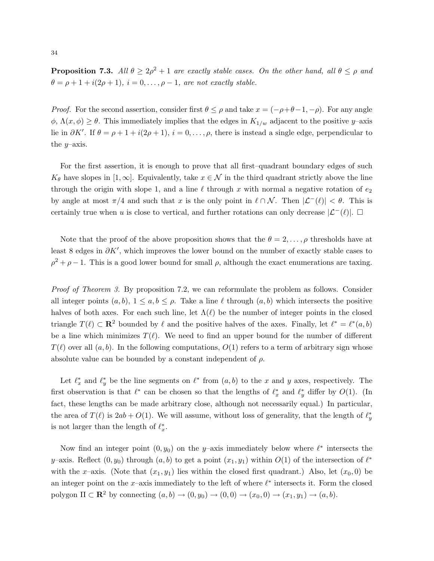**Proposition 7.3.** All  $\theta \geq 2\rho^2 + 1$  are exactly stable cases. On the other hand, all  $\theta \leq \rho$  and  $\theta = \rho + 1 + i(2\rho + 1), i = 0, \ldots, \rho - 1$ , are not exactly stable.

*Proof.* For the second assertion, consider first  $\theta \leq \rho$  and take  $x = (-\rho + \theta - 1, -\rho)$ . For any angle  $\phi$ ,  $\Lambda(x,\phi) \geq \theta$ . This immediately implies that the edges in  $K_{1/w}$  adjacent to the positive y-axis lie in  $\partial K'$ . If  $\theta = \rho + 1 + i(2\rho + 1), i = 0, \ldots, \rho$ , there is instead a single edge, perpendicular to the  $y$ -axis.

For the first assertion, it is enough to prove that all first–quadrant boundary edges of such  $K_{\theta}$  have slopes in [1, ∞]. Equivalently, take  $x \in \mathcal{N}$  in the third quadrant strictly above the line through the origin with slope 1, and a line  $\ell$  through x with normal a negative rotation of  $e_2$ by angle at most  $\pi/4$  and such that x is the only point in  $\ell \cap \mathcal{N}$ . Then  $|\mathcal{L}^-(\ell)| < \theta$ . This is certainly true when u is close to vertical, and further rotations can only decrease  $|\mathcal{L}^-(\ell)|$ .  $\square$ 

Note that the proof of the above proposition shows that the  $\theta = 2, \ldots, \rho$  thresholds have at least 8 edges in  $\partial K'$ , which improves the lower bound on the number of exactly stable cases to  $\rho^2 + \rho - 1$ . This is a good lower bound for small  $\rho$ , although the exact enumerations are taxing.

Proof of Theorem 3. By proposition 7.2, we can reformulate the problem as follows. Consider all integer points  $(a, b)$ ,  $1 \le a, b \le \rho$ . Take a line  $\ell$  through  $(a, b)$  which intersects the positive halves of both axes. For each such line, let  $\Lambda(\ell)$  be the number of integer points in the closed triangle  $T(\ell) \subset \mathbf{R}^2$  bounded by  $\ell$  and the positive halves of the axes. Finally, let  $\ell^* = \ell^*(a, b)$ be a line which minimizes  $T(\ell)$ . We need to find an upper bound for the number of different  $T(\ell)$  over all  $(a, b)$ . In the following computations,  $O(1)$  refers to a term of arbitrary sign whose absolute value can be bounded by a constant independent of  $\rho$ .

Let  $\ell_x^*$  and  $\ell_y^*$  be the line segments on  $\ell^*$  from  $(a, b)$  to the x and y axes, respectively. The first observation is that  $\ell^*$  can be chosen so that the lengths of  $\ell^*_x$  and  $\ell^*_y$  differ by  $O(1)$ . (In fact, these lengths can be made arbitrary close, although not necessarily equal.) In particular, the area of  $T(\ell)$  is  $2ab + O(1)$ . We will assume, without loss of generality, that the length of  $\ell_y^*$ is not larger than the length of  $\ell_x^*$ .

Now find an integer point  $(0, y_0)$  on the y–axis immediately below where  $\ell^*$  intersects the y–axis. Reflect  $(0, y_0)$  through  $(a, b)$  to get a point  $(x_1, y_1)$  within  $O(1)$  of the intersection of  $\ell^*$ with the x–axis. (Note that  $(x_1, y_1)$  lies within the closed first quadrant.) Also, let  $(x_0, 0)$  be an integer point on the x–axis immediately to the left of where  $\ell^*$  intersects it. Form the closed polygon  $\Pi \subset \mathbb{R}^2$  by connecting  $(a, b) \to (0, y_0) \to (0, 0) \to (x_0, 0) \to (x_1, y_1) \to (a, b)$ .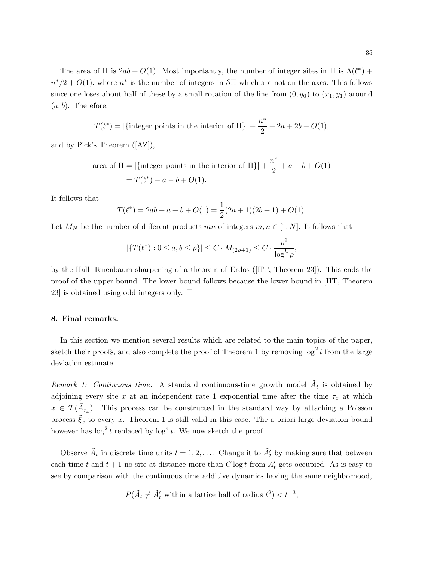The area of  $\Pi$  is  $2ab + O(1)$ . Most importantly, the number of integer sites in  $\Pi$  is  $\Lambda(\ell^*)$  +  $n^*/2 + O(1)$ , where  $n^*$  is the number of integers in  $\partial \Pi$  which are not on the axes. This follows since one loses about half of these by a small rotation of the line from  $(0, y_0)$  to  $(x_1, y_1)$  around  $(a, b)$ . Therefore,

$$
T(\ell^*) = |\{\text{integer points in the interior of } \Pi\}| + \frac{n^*}{2} + 2a + 2b + O(1),
$$

and by Pick's Theorem ([AZ]),

area of 
$$
\Pi = |\{\text{integer points in the interior of } \Pi\}| + \frac{n^*}{2} + a + b + O(1)
$$
  
=  $T(\ell^*) - a - b + O(1)$ .

It follows that

$$
T(\ell^*) = 2ab + a + b + O(1) = \frac{1}{2}(2a+1)(2b+1) + O(1).
$$

Let  $M_N$  be the number of different products mn of integers  $m, n \in [1, N]$ . It follows that

$$
|\{T(\ell^*): 0 \le a, b \le \rho\}| \le C \cdot M_{(2\rho+1)} \le C \cdot \frac{\rho^2}{\log^h \rho},
$$

by the Hall–Tenenbaum sharpening of a theorem of Erdös ([HT, Theorem 23]). This ends the proof of the upper bound. The lower bound follows because the lower bound in [HT, Theorem 23 is obtained using odd integers only.  $\square$ 

### 8. Final remarks.

In this section we mention several results which are related to the main topics of the paper, sketch their proofs, and also complete the proof of Theorem 1 by removing  $\log^2 t$  from the large deviation estimate.

Remark 1: Continuous time. A standard continuous-time growth model  $\tilde{A}_t$  is obtained by adjoining every site x at an independent rate 1 exponential time after the time  $\tau_x$  at which  $x \in \mathcal{T}(\tilde{A}_{\tau_x})$ . This process can be constructed in the standard way by attaching a Poisson process  $\tilde{\xi}_x$  to every x. Theorem 1 is still valid in this case. The a priori large deviation bound however has  $\log^2 t$  replaced by  $\log^4 t$ . We now sketch the proof.

Observe  $\tilde{A}_t$  in discrete time units  $t = 1, 2, \ldots$ . Change it to  $\tilde{A}'_t$  by making sure that between each time t and  $t + 1$  no site at distance more than  $C \log t$  from  $\tilde{A}'_t$  gets occupied. As is easy to see by comparison with the continuous time additive dynamics having the same neighborhood,

$$
P(\tilde{A}_t \neq \tilde{A}'_t \text{ within a lattice ball of radius } t^2) < t^{-3},
$$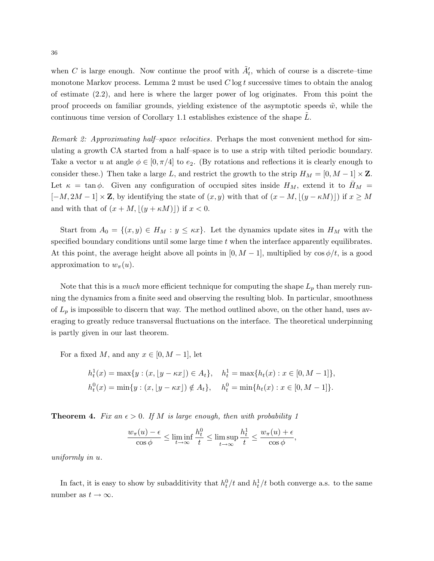when C is large enough. Now continue the proof with  $\tilde{A}'_t$ , which of course is a discrete–time monotone Markov process. Lemma 2 must be used  $C \log t$  successive times to obtain the analog of estimate (2.2), and here is where the larger power of log originates. From this point the proof proceeds on familiar grounds, yielding existence of the asymptotic speeds  $\tilde{w}$ , while the continuous time version of Corollary 1.1 establishes existence of the shape L˜.

Remark 2: Approximating half–space velocities. Perhaps the most convenient method for simulating a growth CA started from a half–space is to use a strip with tilted periodic boundary. Take a vector u at angle  $\phi \in [0, \pi/4]$  to  $e_2$ . (By rotations and reflections it is clearly enough to consider these.) Then take a large L, and restrict the growth to the strip  $H_M = [0, M - 1] \times \mathbb{Z}$ . Let  $\kappa = \tan \phi$ . Given any configuration of occupied sites inside  $H_M$ , extend it to  $H_M =$  $[-M, 2M - 1] \times \mathbb{Z}$ , by identifying the state of  $(x, y)$  with that of  $(x - M, \lfloor (y - \kappa M) \rfloor)$  if  $x \geq M$ and with that of  $(x + M, |(y + \kappa M)|)$  if  $x < 0$ .

Start from  $A_0 = \{(x, y) \in H_M : y \leq \kappa x\}$ . Let the dynamics update sites in  $H_M$  with the specified boundary conditions until some large time  $t$  when the interface apparently equilibrates. At this point, the average height above all points in  $[0, M - 1]$ , multiplied by  $\cos \phi/t$ , is a good approximation to  $w_\pi(u)$ .

Note that this is a *much* more efficient technique for computing the shape  $L_p$  than merely running the dynamics from a finite seed and observing the resulting blob. In particular, smoothness of  $L_p$  is impossible to discern that way. The method outlined above, on the other hand, uses averaging to greatly reduce transversal fluctuations on the interface. The theoretical underpinning is partly given in our last theorem.

For a fixed M, and any  $x \in [0, M-1]$ , let

$$
h_t^1(x) = \max\{y : (x, \lfloor y - \kappa x \rfloor) \in A_t\}, \quad h_t^1 = \max\{h_t(x) : x \in [0, M - 1]\},
$$
  

$$
h_t^0(x) = \min\{y : (x, \lfloor y - \kappa x \rfloor) \notin A_t\}, \quad h_t^0 = \min\{h_t(x) : x \in [0, M - 1]\}.
$$

**Theorem 4.** Fix an  $\epsilon > 0$ . If M is large enough, then with probability 1

$$
\frac{w_{\pi}(u) - \epsilon}{\cos \phi} \le \liminf_{t \to \infty} \frac{h_t^0}{t} \le \limsup_{t \to \infty} \frac{h_t^1}{t} \le \frac{w_{\pi}(u) + \epsilon}{\cos \phi},
$$

uniformly in u.

In fact, it is easy to show by subadditivity that  $h_t^0/t$  and  $h_t^1/t$  both converge a.s. to the same number as  $t \to \infty$ .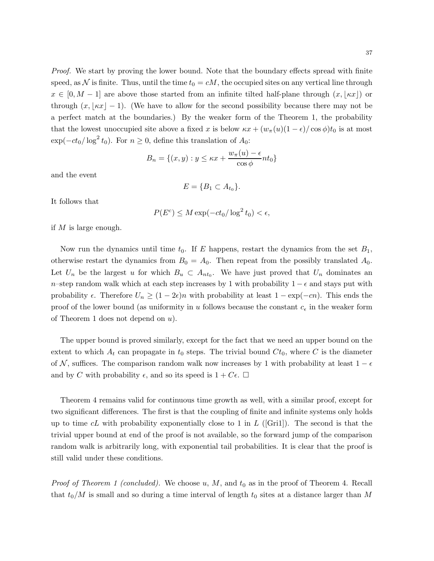Proof. We start by proving the lower bound. Note that the boundary effects spread with finite speed, as N is finite. Thus, until the time  $t_0 = cM$ , the occupied sites on any vertical line through  $x \in [0, M - 1]$  are above those started from an infinite tilted half-plane through  $(x, \kappa x)$  or through  $(x, \kappa x \ - 1)$ . (We have to allow for the second possibility because there may not be a perfect match at the boundaries.) By the weaker form of the Theorem 1, the probability that the lowest unoccupied site above a fixed x is below  $\kappa x + (w_\pi(u)(1-\epsilon)/\cos \phi)t_0$  is at most  $\exp(-ct_0/\log^2 t_0)$ . For  $n \ge 0$ , define this translation of  $A_0$ :

$$
B_n = \{(x, y) : y \le \kappa x + \frac{w_\pi(u) - \epsilon}{\cos \phi} nt_0\}
$$

and the event

$$
E = \{B_1 \subset A_{t_0}\}.
$$

It follows that

$$
P(E^c) \le M \exp(-ct_0/\log^2 t_0) < \epsilon,
$$

if M is large enough.

Now run the dynamics until time  $t_0$ . If E happens, restart the dynamics from the set  $B_1$ , otherwise restart the dynamics from  $B_0 = A_0$ . Then repeat from the possibly translated  $A_0$ . Let  $U_n$  be the largest u for which  $B_u \subset A_{nt_0}$ . We have just proved that  $U_n$  dominates an n–step random walk which at each step increases by 1 with probability  $1 - \epsilon$  and stays put with probability  $\epsilon$ . Therefore  $U_n \ge (1 - 2\epsilon)n$  with probability at least  $1 - \exp(-cn)$ . This ends the proof of the lower bound (as uniformity in u follows because the constant  $c_{\epsilon}$  in the weaker form of Theorem 1 does not depend on  $u$ ).

The upper bound is proved similarly, except for the fact that we need an upper bound on the extent to which  $A_t$  can propagate in  $t_0$  steps. The trivial bound  $Ct_0$ , where C is the diameter of N, suffices. The comparison random walk now increases by 1 with probability at least  $1 - \epsilon$ and by C with probability  $\epsilon$ , and so its speed is  $1 + C\epsilon$ .  $\Box$ 

Theorem 4 remains valid for continuous time growth as well, with a similar proof, except for two significant differences. The first is that the coupling of finite and infinite systems only holds up to time cL with probability exponentially close to 1 in  $L$  ([Gri1]). The second is that the trivial upper bound at end of the proof is not available, so the forward jump of the comparison random walk is arbitrarily long, with exponential tail probabilities. It is clear that the proof is still valid under these conditions.

*Proof of Theorem 1 (concluded).* We choose  $u, M$ , and  $t_0$  as in the proof of Theorem 4. Recall that  $t_0/M$  is small and so during a time interval of length  $t_0$  sites at a distance larger than M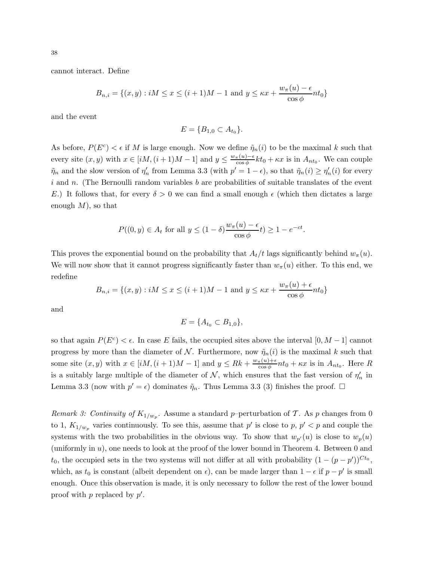cannot interact. Define

$$
B_{n,i} = \{(x, y) : iM \le x \le (i+1)M - 1 \text{ and } y \le \kappa x + \frac{w_{\pi}(u) - \epsilon}{\cos \phi} nt_0 \}
$$

and the event

$$
E = \{B_{1,0} \subset A_{t_0}\}.
$$

As before,  $P(E^c) < \epsilon$  if M is large enough. Now we define  $\tilde{\eta}_n(i)$  to be the maximal k such that every site  $(x, y)$  with  $x \in [iM, (i+1)M-1]$  and  $y \leq \frac{w_{\pi}(u)-\epsilon}{\cos \phi} kt_0 + \kappa x$  is in  $A_{nt_0}$ . We can couple  $\tilde{\eta}_n$  and the slow version of  $\eta'_n$  from Lemma 3.3 (with  $p' = 1 - \epsilon$ ), so that  $\tilde{\eta}_n(i) \ge \eta'_n(i)$  for every  $i$  and n. (The Bernoulli random variables  $b$  are probabilities of suitable translates of the event E.) It follows that, for every  $\delta > 0$  we can find a small enough  $\epsilon$  (which then dictates a large enough  $M$ ), so that

$$
P((0, y) \in A_t \text{ for all } y \le (1 - \delta) \frac{w_\pi(u) - \epsilon}{\cos \phi} t) \ge 1 - e^{-ct}.
$$

This proves the exponential bound on the probability that  $A_t/t$  lags significantly behind  $w_\pi(u)$ . We will now show that it cannot progress significantly faster than  $w_\pi(u)$  either. To this end, we redefine

$$
B_{n,i} = \{(x,y) : iM \le x \le (i+1)M - 1 \text{ and } y \le \kappa x + \frac{w_{\pi}(u) + \epsilon}{\cos \phi} nt_0\}
$$

and

$$
E = \{A_{t_0} \subset B_{1,0}\},\
$$

so that again  $P(E^c) < \epsilon$ . In case E fails, the occupied sites above the interval  $[0, M - 1]$  cannot progress by more than the diameter of N. Furthermore, now  $\tilde{\eta}_n(i)$  is the maximal k such that some site  $(x, y)$  with  $x \in [iM, (i + 1)M - 1]$  and  $y \le Rk + \frac{w_{\pi}(u) + \epsilon}{\cos \phi}$  $\frac{\pi(u)+\epsilon}{\cos\phi}nt_0+\kappa x$  is in  $A_{nt_0}$ . Here R is a suitably large multiple of the diameter of  $N$ , which ensures that the fast version of  $\eta'_n$  in Lemma 3.3 (now with  $p' = \epsilon$ ) dominates  $\tilde{\eta}_n$ . Thus Lemma 3.3 (3) finishes the proof.  $\Box$ 

Remark 3: Continuity of  $K_{1/w_p}$ . Assume a standard p-perturbation of T. As p changes from 0 to 1,  $K_{1/w_p}$  varies continuously. To see this, assume that p' is close to p,  $p' < p$  and couple the systems with the two probabilities in the obvious way. To show that  $w_{p'}(u)$  is close to  $w_p(u)$ (uniformly in u), one needs to look at the proof of the lower bound in Theorem 4. Between 0 and  $t_0$ , the occupied sets in the two systems will not differ at all with probability  $(1 - (p - p'))^{C t_0}$ , which, as  $t_0$  is constant (albeit dependent on  $\epsilon$ ), can be made larger than  $1 - \epsilon$  if  $p - p'$  is small enough. Once this observation is made, it is only necessary to follow the rest of the lower bound proof with  $p$  replaced by  $p'$ .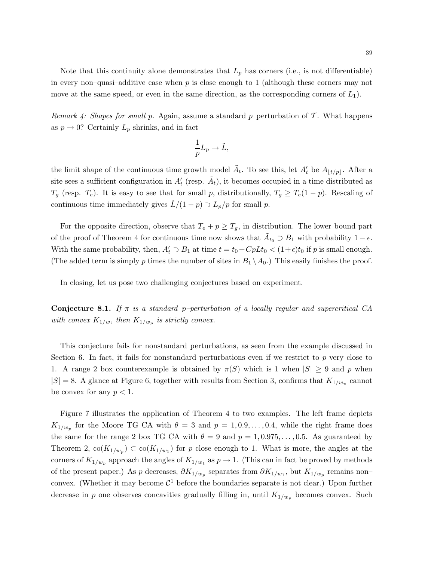Note that this continuity alone demonstrates that  $L_p$  has corners (i.e., is not differentiable) in every non–quasi–additive case when  $p$  is close enough to 1 (although these corners may not move at the same speed, or even in the same direction, as the corresponding corners of  $L_1$ ).

Remark 4: Shapes for small p. Again, assume a standard p–perturbation of  $\mathcal T$ . What happens as  $p \to 0$ ? Certainly  $L_p$  shrinks, and in fact

$$
\frac{1}{p}L_p \to \tilde{L},
$$

the limit shape of the continuous time growth model  $\tilde{A}_t$ . To see this, let  $A'_t$  be  $A_{\lfloor t/p \rfloor}$ . After a site sees a sufficient configuration in  $A'_t$  (resp.  $\tilde{A}_t$ ), it becomes occupied in a time distributed as  $T_g$  (resp.  $T_e$ ). It is easy to see that for small p, distributionally,  $T_g \geq T_e(1-p)$ . Rescaling of continuous time immediately gives  $L/(1-p) \supset L_p/p$  for small p.

For the opposite direction, observe that  $T_e + p \geq T_g$ , in distribution. The lower bound part of the proof of Theorem 4 for continuous time now shows that  $\tilde{A}_{t_0} \supset B_1$  with probability  $1 - \epsilon$ . With the same probability, then,  $A'_t \supset B_1$  at time  $t = t_0 + CpLt_0 < (1+\epsilon)t_0$  if p is small enough. (The added term is simply p times the number of sites in  $B_1 \setminus A_0$ .) This easily finishes the proof.

In closing, let us pose two challenging conjectures based on experiment.

**Conjecture 8.1.** If  $\pi$  is a standard p–perturbation of a locally regular and supercritical CA with convex  $K_{1/w}$ , then  $K_{1/w_p}$  is strictly convex.

This conjecture fails for nonstandard perturbations, as seen from the example discussed in Section 6. In fact, it fails for nonstandard perturbations even if we restrict to  $p$  very close to 1. A range 2 box counterexample is obtained by  $\pi(S)$  which is 1 when  $|S| \geq 9$  and p when  $|S| = 8$ . A glance at Figure 6, together with results from Section 3, confirms that  $K_{1/w_{\pi}}$  cannot be convex for any  $p < 1$ .

Figure 7 illustrates the application of Theorem 4 to two examples. The left frame depicts  $K_{1/w_p}$  for the Moore TG CA with  $\theta = 3$  and  $p = 1, 0.9, \ldots, 0.4$ , while the right frame does the same for the range 2 box TG CA with  $\theta = 9$  and  $p = 1, 0.975, \ldots, 0.5$ . As guaranteed by Theorem 2,  $\text{co}(K_{1/w_p}) \subset \text{co}(K_{1/w_1})$  for p close enough to 1. What is more, the angles at the corners of  $K_{1/w_p}$  approach the angles of  $K_{1/w_1}$  as  $p \to 1$ . (This can in fact be proved by methods of the present paper.) As p decreases,  $\partial K_{1/w_p}$  separates from  $\partial K_{1/w_1}$ , but  $K_{1/w_p}$  remains nonconvex. (Whether it may become  $\mathcal{C}^1$  before the boundaries separate is not clear.) Upon further decrease in p one observes concavities gradually filling in, until  $K_{1/w_p}$  becomes convex. Such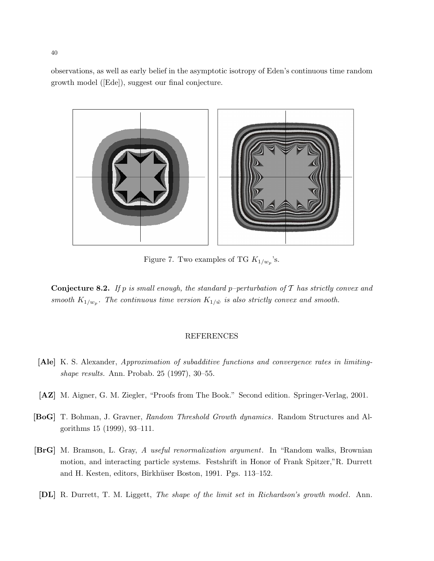observations, as well as early belief in the asymptotic isotropy of Eden's continuous time random growth model ([Ede]), suggest our final conjecture.



Figure 7. Two examples of TG  $K_{1/w_p}$ 's.

**Conjecture 8.2.** If p is small enough, the standard p-perturbation of  $T$  has strictly convex and smooth  $K_{1/w_p}$ . The continuous time version  $K_{1/\tilde{w}}$  is also strictly convex and smooth.

### REFERENCES

- [Ale] K. S. Alexander, Approximation of subadditive functions and convergence rates in limitingshape results. Ann. Probab. 25 (1997), 30–55.
- [AZ] M. Aigner, G. M. Ziegler, "Proofs from The Book." Second edition. Springer-Verlag, 2001.
- [BoG] T. Bohman, J. Gravner, Random Threshold Growth dynamics. Random Structures and Algorithms 15 (1999), 93–111.
- [BrG] M. Bramson, L. Gray, A useful renormalization argument. In "Random walks, Brownian motion, and interacting particle systems. Festshrift in Honor of Frank Spitzer,"R. Durrett and H. Kesten, editors, Birkhüser Boston, 1991. Pgs. 113–152.
- [DL] R. Durrett, T. M. Liggett, The shape of the limit set in Richardson's growth model. Ann.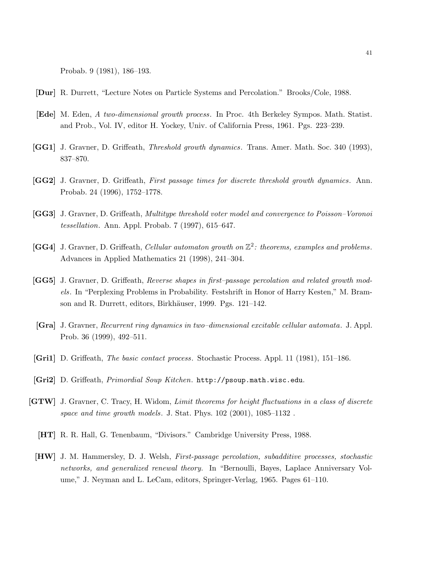Probab. 9 (1981), 186–193.

- [Dur] R. Durrett, "Lecture Notes on Particle Systems and Percolation." Brooks/Cole, 1988.
- [Ede] M. Eden, A two-dimensional growth process. In Proc. 4th Berkeley Sympos. Math. Statist. and Prob., Vol. IV, editor H. Yockey, Univ. of California Press, 1961. Pgs. 223–239.
- [GG1] J. Gravner, D. Griffeath, Threshold growth dynamics. Trans. Amer. Math. Soc. 340 (1993), 837–870.
- [GG2] J. Gravner, D. Griffeath, First passage times for discrete threshold growth dynamics. Ann. Probab. 24 (1996), 1752–1778.
- [GG3] J. Gravner, D. Griffeath, Multitype threshold voter model and convergence to Poisson–Voronoi tessellation. Ann. Appl. Probab. 7 (1997), 615–647.
- [GG4] J. Gravner, D. Griffeath, Cellular automaton growth on  $\mathbb{Z}^2$ : theorems, examples and problems. Advances in Applied Mathematics 21 (1998), 241–304.
- [GG5] J. Gravner, D. Griffeath, Reverse shapes in first–passage percolation and related growth models. In "Perplexing Problems in Probability. Festshrift in Honor of Harry Kesten," M. Bramson and R. Durrett, editors, Birkhäuser, 1999. Pgs. 121–142.
- [Gra] J. Gravner, Recurrent ring dynamics in two–dimensional excitable cellular automata. J. Appl. Prob. 36 (1999), 492–511.
- [Gri1] D. Griffeath, The basic contact process. Stochastic Process. Appl. 11 (1981), 151–186.
- [Gri2] D. Griffeath, Primordial Soup Kitchen. http://psoup.math.wisc.edu.
- [GTW] J. Gravner, C. Tracy, H. Widom, Limit theorems for height fluctuations in a class of discrete space and time growth models. J. Stat. Phys. 102 (2001), 1085–1132 .
	- [HT] R. R. Hall, G. Tenenbaum, "Divisors." Cambridge University Press, 1988.
	- [HW] J. M. Hammersley, D. J. Welsh, First-passage percolation, subadditive processes, stochastic networks, and generalized renewal theory. In "Bernoulli, Bayes, Laplace Anniversary Volume," J. Neyman and L. LeCam, editors, Springer-Verlag, 1965. Pages 61–110.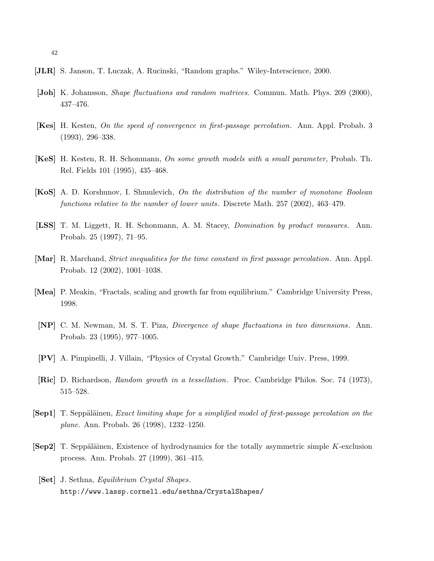- [JLR] S. Janson, T. Luczak, A. Rucinski, "Random graphs." Wiley-Interscience, 2000.
- [Joh] K. Johansson, Shape fluctuations and random matrices. Commun. Math. Phys. 209 (2000), 437–476.
- [Kes] H. Kesten, On the speed of convergence in first-passage percolation. Ann. Appl. Probab. 3 (1993), 296–338.
- [KeS] H. Kesten, R. H. Schonmann, On some growth models with a small parameter, Probab. Th. Rel. Fields 101 (1995), 435–468.
- [KoS] A. D. Korshunov, I. Shmulevich, On the distribution of the number of monotone Boolean functions relative to the number of lower units. Discrete Math. 257 (2002), 463–479.
- [LSS] T. M. Liggett, R. H. Schonmann, A. M. Stacey, Domination by product measures. Ann. Probab. 25 (1997), 71–95.
- [Mar] R. Marchand, Strict inequalities for the time constant in first passage percolation. Ann. Appl. Probab. 12 (2002), 1001–1038.
- [Mea] P. Meakin, "Fractals, scaling and growth far from equilibrium." Cambridge University Press, 1998.
- [NP] C. M. Newman, M. S. T. Piza, Divergence of shape fluctuations in two dimensions. Ann. Probab. 23 (1995), 977–1005.
- [PV] A. Pimpinelli, J. Villain, "Physics of Crystal Growth." Cambridge Univ. Press, 1999.
- [Ric] D. Richardson, Random growth in a tessellation. Proc. Cambridge Philos. Soc. 74 (1973), 515–528.
- [Sep1] T. Seppäläinen, *Exact limiting shape for a simplified model of first-passage percolation on the* plane. Ann. Probab. 26 (1998), 1232–1250.
- [Sep2] T. Seppäläinen, Existence of hydrodynamics for the totally asymmetric simple K-exclusion process. Ann. Probab. 27 (1999), 361–415.
	- [Set] J. Sethna, Equilibrium Crystal Shapes. http://www.lassp.cornell.edu/sethna/CrystalShapes/